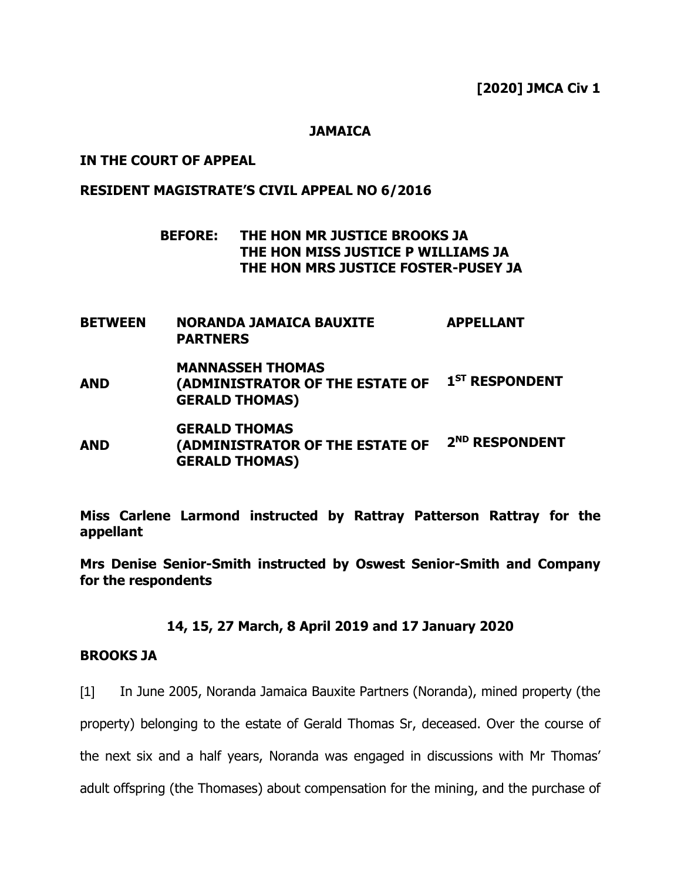**[2020] JMCA Civ 1**

### **JAMAICA**

### **IN THE COURT OF APPEAL**

#### **RESIDENT MAGISTRATE'S CIVIL APPEAL NO 6/2016**

## **BEFORE: THE HON MR JUSTICE BROOKS JA THE HON MISS JUSTICE P WILLIAMS JA THE HON MRS JUSTICE FOSTER-PUSEY JA**

- **BETWEEN NORANDA JAMAICA BAUXITE PARTNERS APPELLANT**
- **AND MANNASSEH THOMAS (ADMINISTRATOR OF THE ESTATE OF 1 ST RESPONDENT GERALD THOMAS)**
- **AND GERALD THOMAS (ADMINISTRATOR OF THE ESTATE OF 2 ND RESPONDENT GERALD THOMAS)**

**Miss Carlene Larmond instructed by Rattray Patterson Rattray for the appellant**

**Mrs Denise Senior-Smith instructed by Oswest Senior-Smith and Company for the respondents**

### **14, 15, 27 March, 8 April 2019 and 17 January 2020**

### **BROOKS JA**

[1] In June 2005, Noranda Jamaica Bauxite Partners (Noranda), mined property (the property) belonging to the estate of Gerald Thomas Sr, deceased. Over the course of the next six and a half years, Noranda was engaged in discussions with Mr Thomas'

adult offspring (the Thomases) about compensation for the mining, and the purchase of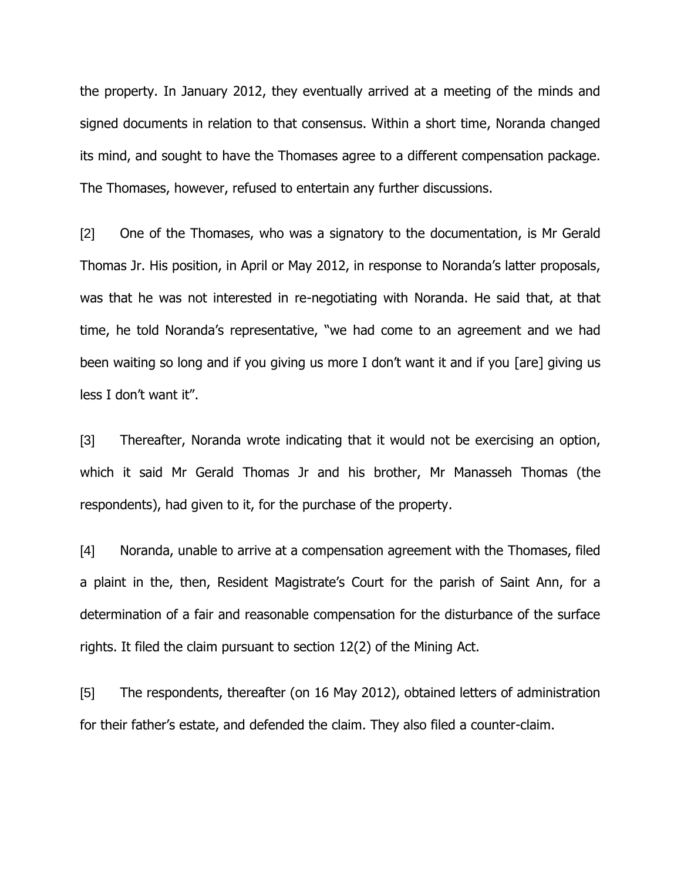the property. In January 2012, they eventually arrived at a meeting of the minds and signed documents in relation to that consensus. Within a short time, Noranda changed its mind, and sought to have the Thomases agree to a different compensation package. The Thomases, however, refused to entertain any further discussions.

[2] One of the Thomases, who was a signatory to the documentation, is Mr Gerald Thomas Jr. His position, in April or May 2012, in response to Noranda's latter proposals, was that he was not interested in re-negotiating with Noranda. He said that, at that time, he told Noranda's representative, "we had come to an agreement and we had been waiting so long and if you giving us more I don't want it and if you [are] giving us less I don't want it".

[3] Thereafter, Noranda wrote indicating that it would not be exercising an option, which it said Mr Gerald Thomas Jr and his brother, Mr Manasseh Thomas (the respondents), had given to it, for the purchase of the property.

[4] Noranda, unable to arrive at a compensation agreement with the Thomases, filed a plaint in the, then, Resident Magistrate's Court for the parish of Saint Ann, for a determination of a fair and reasonable compensation for the disturbance of the surface rights. It filed the claim pursuant to section 12(2) of the Mining Act.

[5] The respondents, thereafter (on 16 May 2012), obtained letters of administration for their father's estate, and defended the claim. They also filed a counter-claim.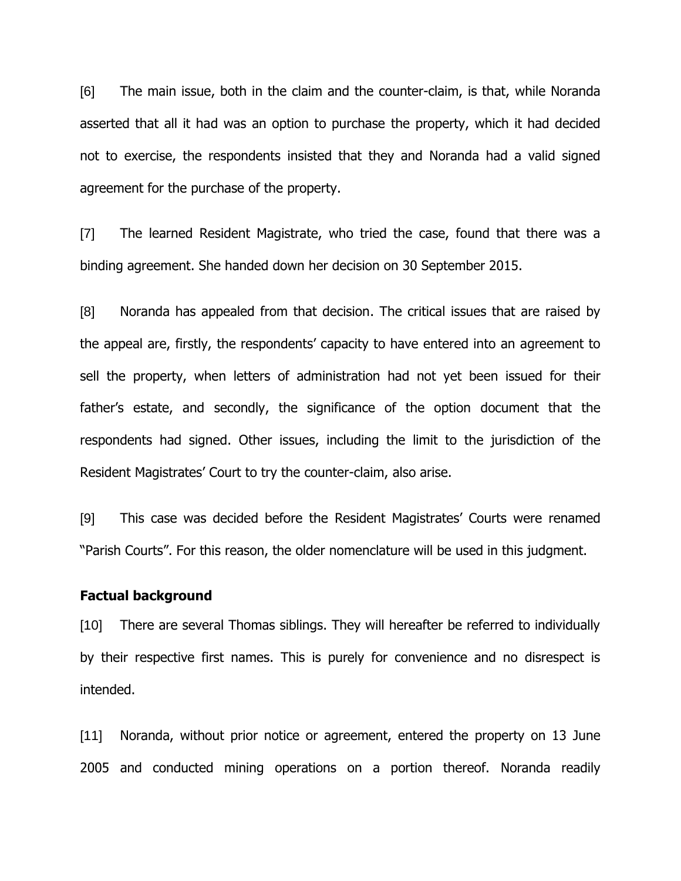[6] The main issue, both in the claim and the counter-claim, is that, while Noranda asserted that all it had was an option to purchase the property, which it had decided not to exercise, the respondents insisted that they and Noranda had a valid signed agreement for the purchase of the property.

[7] The learned Resident Magistrate, who tried the case, found that there was a binding agreement. She handed down her decision on 30 September 2015.

[8] Noranda has appealed from that decision. The critical issues that are raised by the appeal are, firstly, the respondents' capacity to have entered into an agreement to sell the property, when letters of administration had not yet been issued for their father's estate, and secondly, the significance of the option document that the respondents had signed. Other issues, including the limit to the jurisdiction of the Resident Magistrates' Court to try the counter-claim, also arise.

[9] This case was decided before the Resident Magistrates' Courts were renamed "Parish Courts". For this reason, the older nomenclature will be used in this judgment.

### **Factual background**

[10] There are several Thomas siblings. They will hereafter be referred to individually by their respective first names. This is purely for convenience and no disrespect is intended.

[11] Noranda, without prior notice or agreement, entered the property on 13 June 2005 and conducted mining operations on a portion thereof. Noranda readily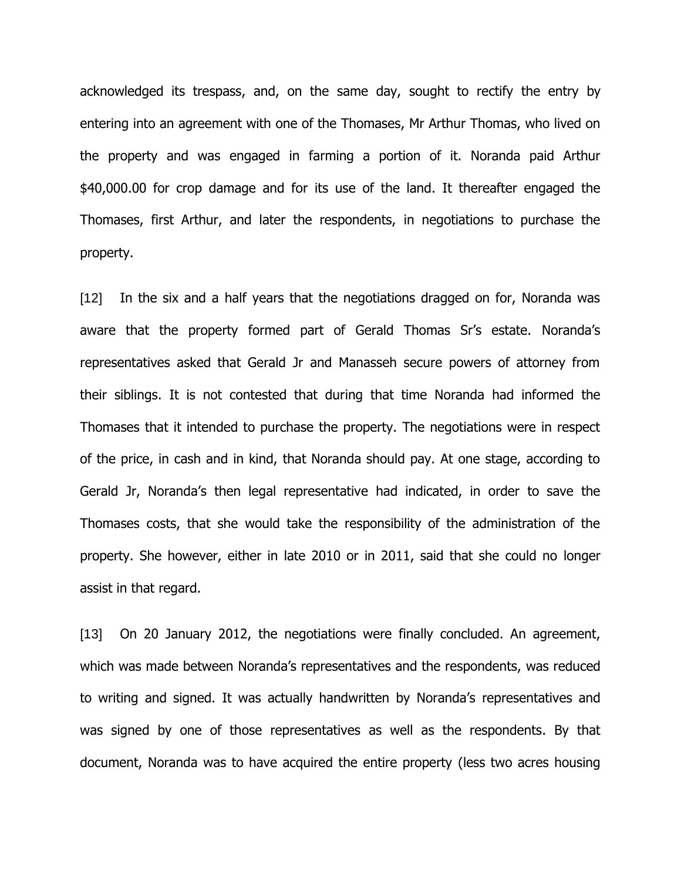acknowledged its trespass, and, on the same day, sought to rectify the entry by entering into an agreement with one of the Thomases, Mr Arthur Thomas, who lived on the property and was engaged in farming a portion of it. Noranda paid Arthur \$40,000.00 for crop damage and for its use of the land. It thereafter engaged the Thomases, first Arthur, and later the respondents, in negotiations to purchase the property.

[12] In the six and a half years that the negotiations dragged on for, Noranda was aware that the property formed part of Gerald Thomas Sr's estate. Noranda's representatives asked that Gerald Jr and Manasseh secure powers of attorney from their siblings. It is not contested that during that time Noranda had informed the Thomases that it intended to purchase the property. The negotiations were in respect of the price, in cash and in kind, that Noranda should pay. At one stage, according to Gerald Jr, Noranda's then legal representative had indicated, in order to save the Thomases costs, that she would take the responsibility of the administration of the property. She however, either in late 2010 or in 2011, said that she could no longer assist in that regard.

[13] On 20 January 2012, the negotiations were finally concluded. An agreement, which was made between Noranda's representatives and the respondents, was reduced to writing and signed. It was actually handwritten by Noranda's representatives and was signed by one of those representatives as well as the respondents. By that document, Noranda was to have acquired the entire property (less two acres housing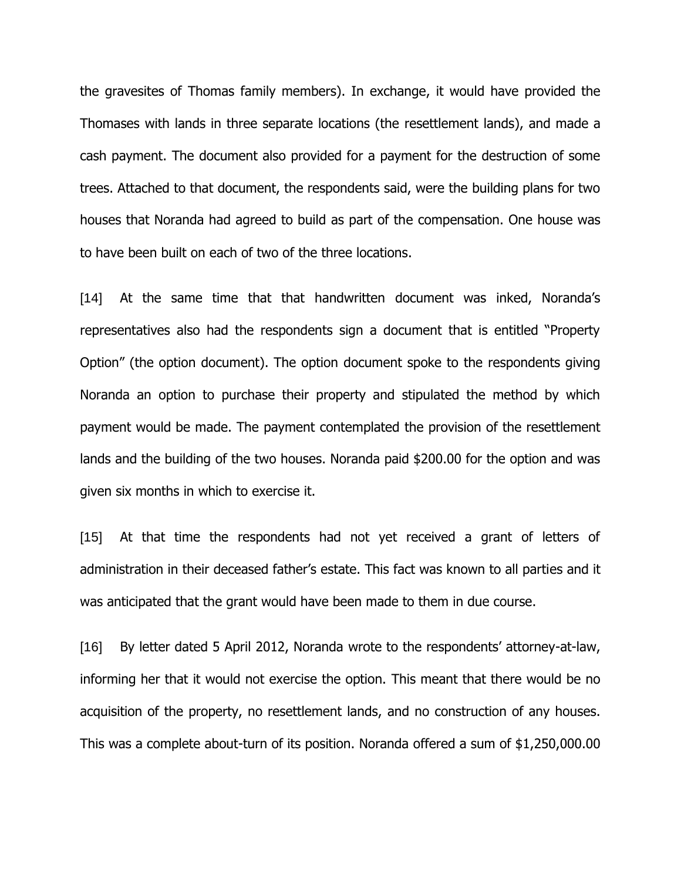the gravesites of Thomas family members). In exchange, it would have provided the Thomases with lands in three separate locations (the resettlement lands), and made a cash payment. The document also provided for a payment for the destruction of some trees. Attached to that document, the respondents said, were the building plans for two houses that Noranda had agreed to build as part of the compensation. One house was to have been built on each of two of the three locations.

[14] At the same time that that handwritten document was inked, Noranda's representatives also had the respondents sign a document that is entitled "Property Option" (the option document). The option document spoke to the respondents giving Noranda an option to purchase their property and stipulated the method by which payment would be made. The payment contemplated the provision of the resettlement lands and the building of the two houses. Noranda paid \$200.00 for the option and was given six months in which to exercise it.

[15] At that time the respondents had not yet received a grant of letters of administration in their deceased father's estate. This fact was known to all parties and it was anticipated that the grant would have been made to them in due course.

[16] By letter dated 5 April 2012, Noranda wrote to the respondents' attorney-at-law, informing her that it would not exercise the option. This meant that there would be no acquisition of the property, no resettlement lands, and no construction of any houses. This was a complete about-turn of its position. Noranda offered a sum of \$1,250,000.00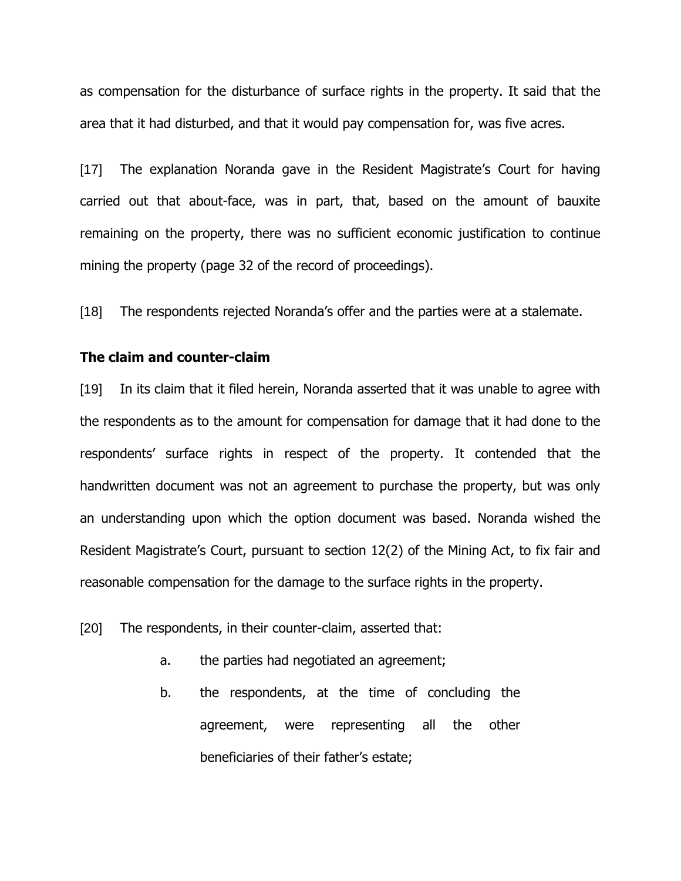as compensation for the disturbance of surface rights in the property. It said that the area that it had disturbed, and that it would pay compensation for, was five acres.

[17] The explanation Noranda gave in the Resident Magistrate's Court for having carried out that about-face, was in part, that, based on the amount of bauxite remaining on the property, there was no sufficient economic justification to continue mining the property (page 32 of the record of proceedings).

[18] The respondents rejected Noranda's offer and the parties were at a stalemate.

### **The claim and counter-claim**

[19] In its claim that it filed herein, Noranda asserted that it was unable to agree with the respondents as to the amount for compensation for damage that it had done to the respondents' surface rights in respect of the property. It contended that the handwritten document was not an agreement to purchase the property, but was only an understanding upon which the option document was based. Noranda wished the Resident Magistrate's Court, pursuant to section 12(2) of the Mining Act, to fix fair and reasonable compensation for the damage to the surface rights in the property.

[20] The respondents, in their counter-claim, asserted that:

- a. the parties had negotiated an agreement;
- b. the respondents, at the time of concluding the agreement, were representing all the other beneficiaries of their father's estate;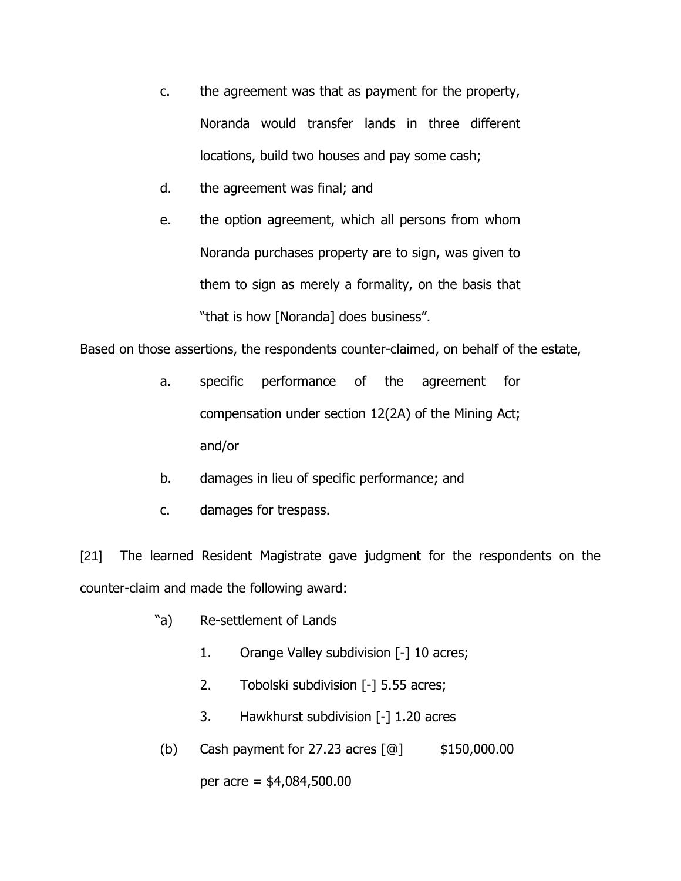- c. the agreement was that as payment for the property, Noranda would transfer lands in three different locations, build two houses and pay some cash;
- d. the agreement was final; and
- e. the option agreement, which all persons from whom Noranda purchases property are to sign, was given to them to sign as merely a formality, on the basis that "that is how [Noranda] does business".

Based on those assertions, the respondents counter-claimed, on behalf of the estate,

- a. specific performance of the agreement for compensation under section 12(2A) of the Mining Act; and/or
- b. damages in lieu of specific performance; and
- c. damages for trespass.

[21] The learned Resident Magistrate gave judgment for the respondents on the counter-claim and made the following award:

- "a) Re-settlement of Lands
	- 1. Orange Valley subdivision [-] 10 acres;
	- 2. Tobolski subdivision [-] 5.55 acres;
	- 3. Hawkhurst subdivision [-] 1.20 acres
- (b) Cash payment for 27.23 acres  $[@]$  \$150,000.00

per acre = \$4,084,500.00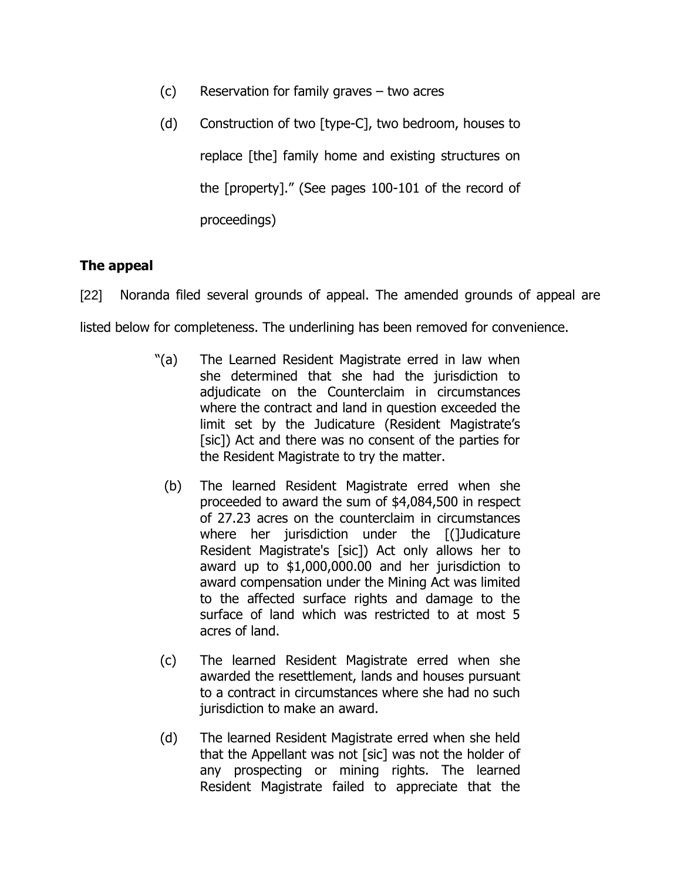- (c) Reservation for family graves two acres
- (d) Construction of two [type-C], two bedroom, houses to replace [the] family home and existing structures on the [property]." (See pages 100-101 of the record of proceedings)

# **The appeal**

[22] Noranda filed several grounds of appeal. The amended grounds of appeal are listed below for completeness. The underlining has been removed for convenience.

- "(a) The Learned Resident Magistrate erred in law when she determined that she had the jurisdiction to adjudicate on the Counterclaim in circumstances where the contract and land in question exceeded the limit set by the Judicature (Resident Magistrate's [sic]) Act and there was no consent of the parties for the Resident Magistrate to try the matter.
	- (b) The learned Resident Magistrate erred when she proceeded to award the sum of \$4,084,500 in respect of 27.23 acres on the counterclaim in circumstances where her jurisdiction under the [(]Judicature Resident Magistrate's [sic]) Act only allows her to award up to \$1,000,000.00 and her jurisdiction to award compensation under the Mining Act was limited to the affected surface rights and damage to the surface of land which was restricted to at most 5 acres of land.
- (c) The learned Resident Magistrate erred when she awarded the resettlement, lands and houses pursuant to a contract in circumstances where she had no such jurisdiction to make an award.
- (d) The learned Resident Magistrate erred when she held that the Appellant was not [sic] was not the holder of any prospecting or mining rights. The learned Resident Magistrate failed to appreciate that the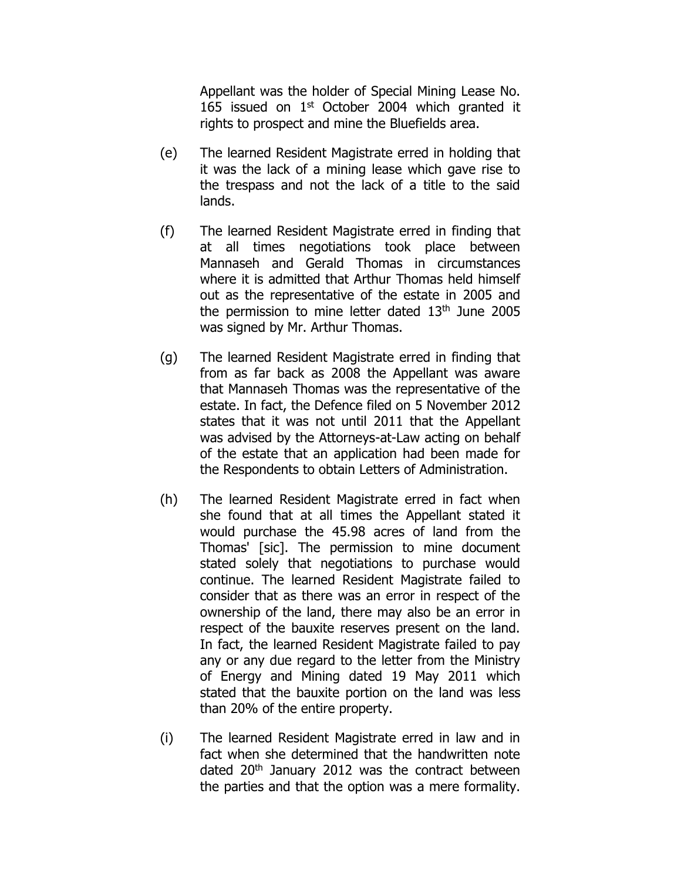Appellant was the holder of Special Mining Lease No. 165 issued on  $1<sup>st</sup>$  October 2004 which granted it rights to prospect and mine the Bluefields area.

- (e) The learned Resident Magistrate erred in holding that it was the lack of a mining lease which gave rise to the trespass and not the lack of a title to the said lands.
- (f) The learned Resident Magistrate erred in finding that at all times negotiations took place between Mannaseh and Gerald Thomas in circumstances where it is admitted that Arthur Thomas held himself out as the representative of the estate in 2005 and the permission to mine letter dated  $13<sup>th</sup>$  June 2005 was signed by Mr. Arthur Thomas.
- (g) The learned Resident Magistrate erred in finding that from as far back as 2008 the Appellant was aware that Mannaseh Thomas was the representative of the estate. In fact, the Defence filed on 5 November 2012 states that it was not until 2011 that the Appellant was advised by the Attorneys-at-Law acting on behalf of the estate that an application had been made for the Respondents to obtain Letters of Administration.
- (h) The learned Resident Magistrate erred in fact when she found that at all times the Appellant stated it would purchase the 45.98 acres of land from the Thomas' [sic]. The permission to mine document stated solely that negotiations to purchase would continue. The learned Resident Magistrate failed to consider that as there was an error in respect of the ownership of the land, there may also be an error in respect of the bauxite reserves present on the land. In fact, the learned Resident Magistrate failed to pay any or any due regard to the letter from the Ministry of Energy and Mining dated 19 May 2011 which stated that the bauxite portion on the land was less than 20% of the entire property.
- (i) The learned Resident Magistrate erred in law and in fact when she determined that the handwritten note dated 20<sup>th</sup> January 2012 was the contract between the parties and that the option was a mere formality.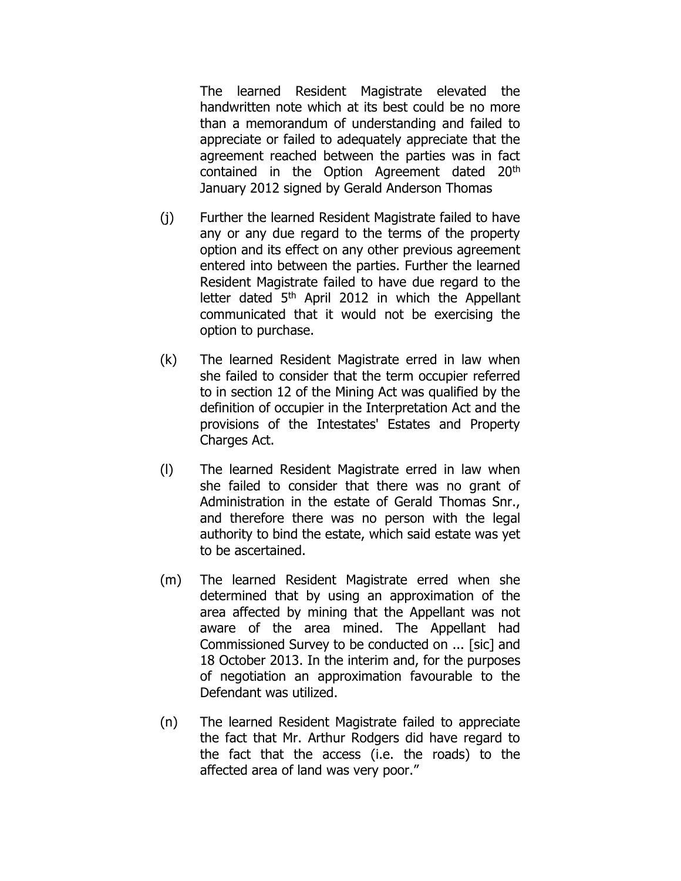The learned Resident Magistrate elevated the handwritten note which at its best could be no more than a memorandum of understanding and failed to appreciate or failed to adequately appreciate that the agreement reached between the parties was in fact contained in the Option Agreement dated 20th January 2012 signed by Gerald Anderson Thomas

- (j) Further the learned Resident Magistrate failed to have any or any due regard to the terms of the property option and its effect on any other previous agreement entered into between the parties. Further the learned Resident Magistrate failed to have due regard to the letter dated  $5<sup>th</sup>$  April 2012 in which the Appellant communicated that it would not be exercising the option to purchase.
- (k) The learned Resident Magistrate erred in law when she failed to consider that the term occupier referred to in section 12 of the Mining Act was qualified by the definition of occupier in the Interpretation Act and the provisions of the Intestates' Estates and Property Charges Act.
- (l) The learned Resident Magistrate erred in law when she failed to consider that there was no grant of Administration in the estate of Gerald Thomas Snr., and therefore there was no person with the legal authority to bind the estate, which said estate was yet to be ascertained.
- (m) The learned Resident Magistrate erred when she determined that by using an approximation of the area affected by mining that the Appellant was not aware of the area mined. The Appellant had Commissioned Survey to be conducted on ... [sic] and 18 October 2013. In the interim and, for the purposes of negotiation an approximation favourable to the Defendant was utilized.
- (n) The learned Resident Magistrate failed to appreciate the fact that Mr. Arthur Rodgers did have regard to the fact that the access (i.e. the roads) to the affected area of land was very poor."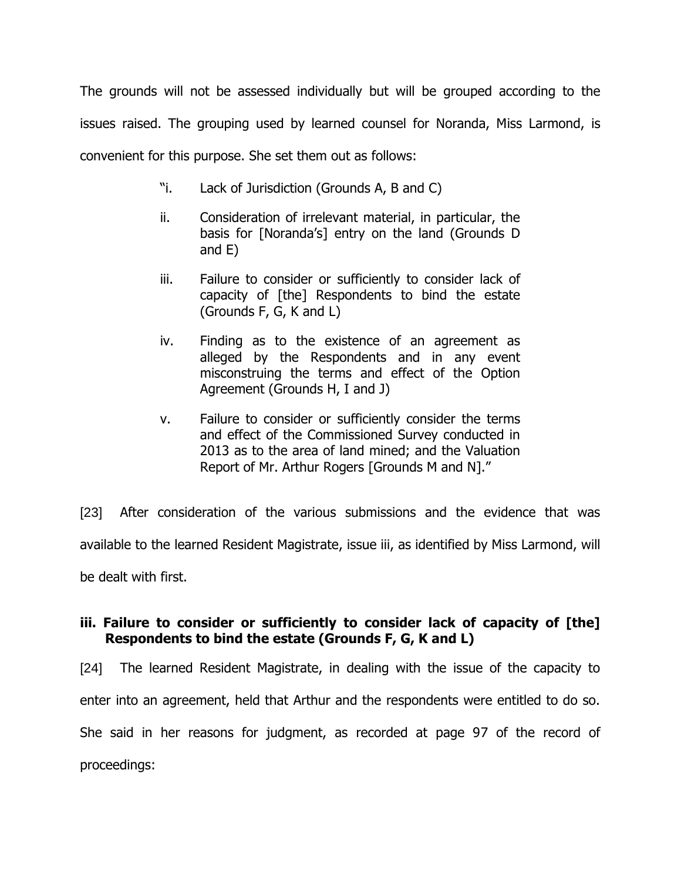The grounds will not be assessed individually but will be grouped according to the issues raised. The grouping used by learned counsel for Noranda, Miss Larmond, is convenient for this purpose. She set them out as follows:

- "i. Lack of Jurisdiction (Grounds A, B and C)
- ii. Consideration of irrelevant material, in particular, the basis for [Noranda's] entry on the land (Grounds D and E)
- iii. Failure to consider or sufficiently to consider lack of capacity of [the] Respondents to bind the estate (Grounds F, G, K and L)
- iv. Finding as to the existence of an agreement as alleged by the Respondents and in any event misconstruing the terms and effect of the Option Agreement (Grounds H, I and J)
- v. Failure to consider or sufficiently consider the terms and effect of the Commissioned Survey conducted in 2013 as to the area of land mined; and the Valuation Report of Mr. Arthur Rogers [Grounds M and N]."

[23] After consideration of the various submissions and the evidence that was available to the learned Resident Magistrate, issue iii, as identified by Miss Larmond, will be dealt with first.

## **iii. Failure to consider or sufficiently to consider lack of capacity of [the] Respondents to bind the estate (Grounds F, G, K and L)**

[24] The learned Resident Magistrate, in dealing with the issue of the capacity to enter into an agreement, held that Arthur and the respondents were entitled to do so. She said in her reasons for judgment, as recorded at page 97 of the record of proceedings: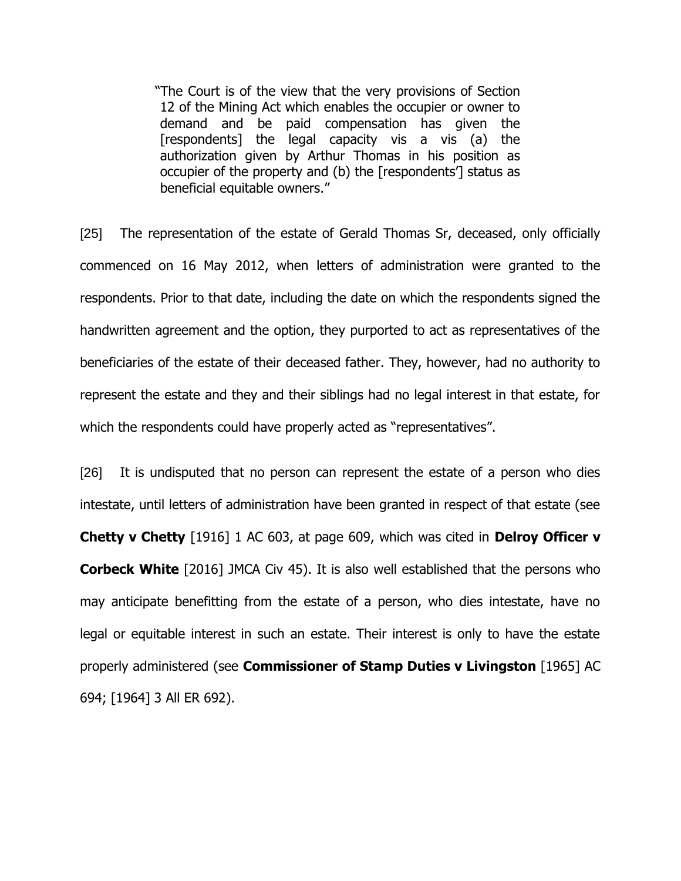"The Court is of the view that the very provisions of Section 12 of the Mining Act which enables the occupier or owner to demand and be paid compensation has given the [respondents] the legal capacity vis a vis (a) the authorization given by Arthur Thomas in his position as occupier of the property and (b) the [respondents'] status as beneficial equitable owners."

[25] The representation of the estate of Gerald Thomas Sr, deceased, only officially commenced on 16 May 2012, when letters of administration were granted to the respondents. Prior to that date, including the date on which the respondents signed the handwritten agreement and the option, they purported to act as representatives of the beneficiaries of the estate of their deceased father. They, however, had no authority to represent the estate and they and their siblings had no legal interest in that estate, for which the respondents could have properly acted as "representatives".

[26] It is undisputed that no person can represent the estate of a person who dies intestate, until letters of administration have been granted in respect of that estate (see **Chetty v Chetty** [1916] 1 AC 603, at page 609, which was cited in **Delroy Officer v Corbeck White** [2016] JMCA Civ 45). It is also well established that the persons who may anticipate benefitting from the estate of a person, who dies intestate, have no legal or equitable interest in such an estate. Their interest is only to have the estate properly administered (see **Commissioner of Stamp Duties v Livingston** [1965] AC 694; [1964] 3 All ER 692).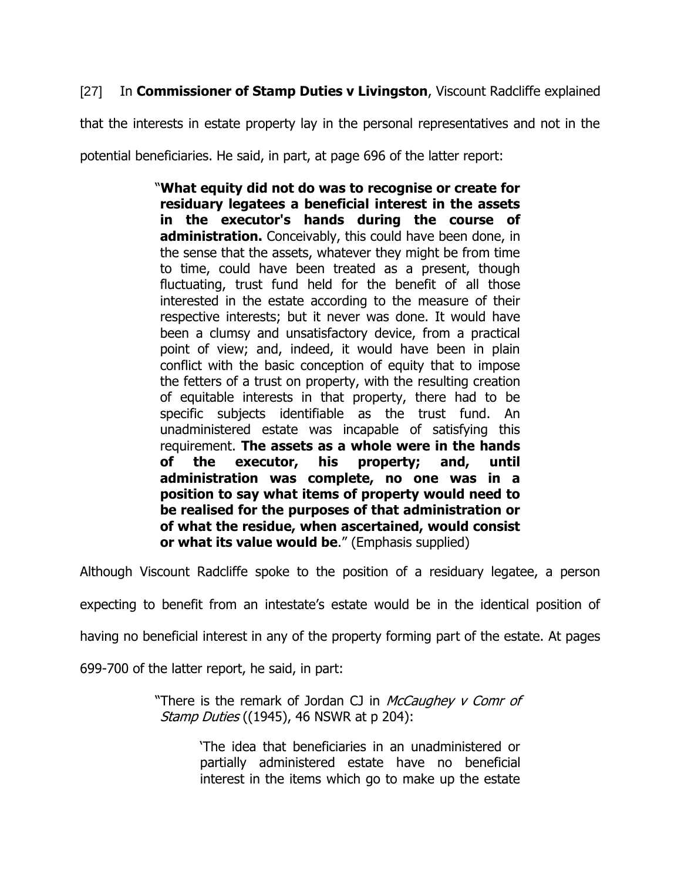# [27] In **Commissioner of Stamp Duties v Livingston**, Viscount Radcliffe explained

that the interests in estate property lay in the personal representatives and not in the

potential beneficiaries. He said, in part, at page 696 of the latter report:

"**What equity did not do was to recognise or create for residuary legatees a beneficial interest in the assets in the executor's hands during the course of administration.** Conceivably, this could have been done, in the sense that the assets, whatever they might be from time to time, could have been treated as a present, though fluctuating, trust fund held for the benefit of all those interested in the estate according to the measure of their respective interests; but it never was done. It would have been a clumsy and unsatisfactory device, from a practical point of view; and, indeed, it would have been in plain conflict with the basic conception of equity that to impose the fetters of a trust on property, with the resulting creation of equitable interests in that property, there had to be specific subjects identifiable as the trust fund. An unadministered estate was incapable of satisfying this requirement. **The assets as a whole were in the hands of the executor, his property; and, until administration was complete, no one was in a position to say what items of property would need to be realised for the purposes of that administration or of what the residue, when ascertained, would consist or what its value would be**." (Emphasis supplied)

Although Viscount Radcliffe spoke to the position of a residuary legatee, a person

expecting to benefit from an intestate's estate would be in the identical position of

having no beneficial interest in any of the property forming part of the estate. At pages

699-700 of the latter report, he said, in part:

"There is the remark of Jordan CJ in McCaughey v Comr of Stamp Duties ((1945), 46 NSWR at p 204):

> 'The idea that beneficiaries in an unadministered or partially administered estate have no beneficial interest in the items which go to make up the estate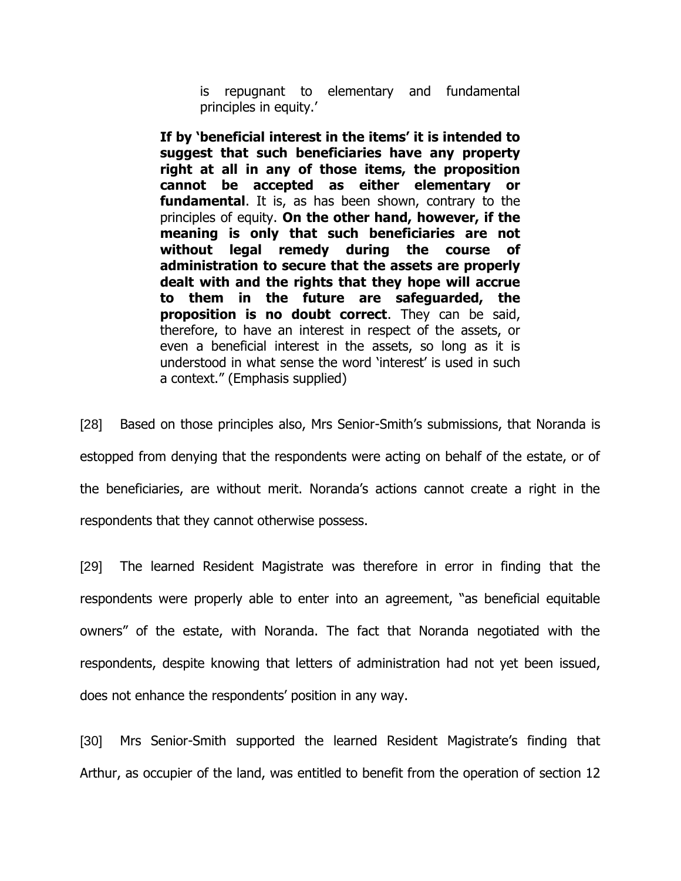is repugnant to elementary and fundamental principles in equity.'

**If by 'beneficial interest in the items' it is intended to suggest that such beneficiaries have any property right at all in any of those items, the proposition cannot be accepted as either elementary or fundamental**. It is, as has been shown, contrary to the principles of equity. **On the other hand, however, if the meaning is only that such beneficiaries are not without legal remedy during the course of administration to secure that the assets are properly dealt with and the rights that they hope will accrue to them in the future are safeguarded, the proposition is no doubt correct**. They can be said, therefore, to have an interest in respect of the assets, or even a beneficial interest in the assets, so long as it is understood in what sense the word 'interest' is used in such a context." (Emphasis supplied)

[28] Based on those principles also, Mrs Senior-Smith's submissions, that Noranda is estopped from denying that the respondents were acting on behalf of the estate, or of the beneficiaries, are without merit. Noranda's actions cannot create a right in the respondents that they cannot otherwise possess.

[29] The learned Resident Magistrate was therefore in error in finding that the respondents were properly able to enter into an agreement, "as beneficial equitable owners" of the estate, with Noranda. The fact that Noranda negotiated with the respondents, despite knowing that letters of administration had not yet been issued, does not enhance the respondents' position in any way.

[30] Mrs Senior-Smith supported the learned Resident Magistrate's finding that Arthur, as occupier of the land, was entitled to benefit from the operation of section 12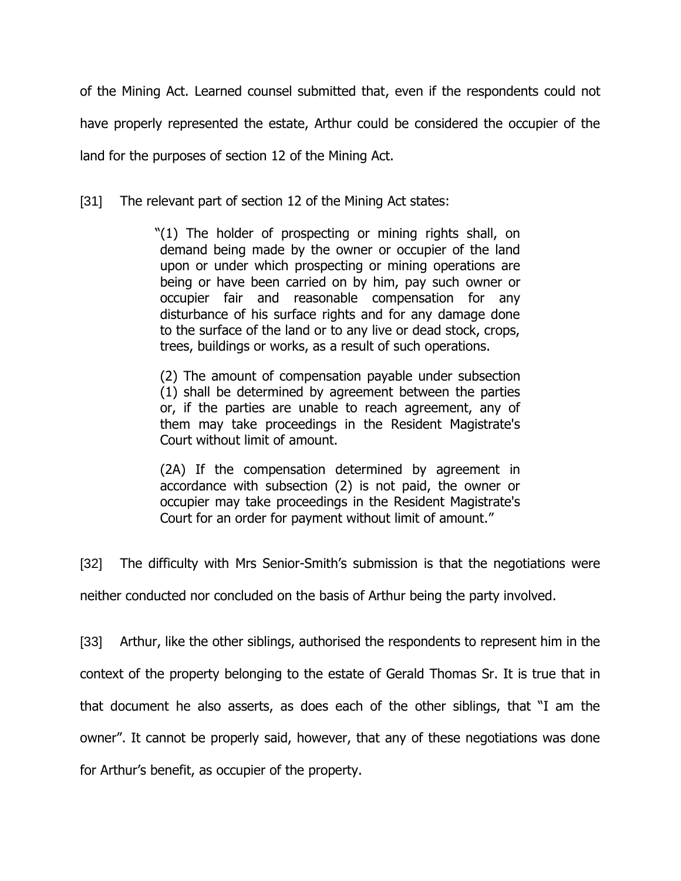of the Mining Act. Learned counsel submitted that, even if the respondents could not have properly represented the estate, Arthur could be considered the occupier of the land for the purposes of section 12 of the Mining Act.

[31] The relevant part of section 12 of the Mining Act states:

"(1) The holder of prospecting or mining rights shall, on demand being made by the owner or occupier of the land upon or under which prospecting or mining operations are being or have been carried on by him, pay such owner or occupier fair and reasonable compensation for any disturbance of his surface rights and for any damage done to the surface of the land or to any live or dead stock, crops, trees, buildings or works, as a result of such operations.

(2) The amount of compensation payable under subsection (1) shall be determined by agreement between the parties or, if the parties are unable to reach agreement, any of them may take proceedings in the Resident Magistrate's Court without limit of amount.

(2A) If the compensation determined by agreement in accordance with subsection (2) is not paid, the owner or occupier may take proceedings in the Resident Magistrate's Court for an order for payment without limit of amount."

[32] The difficulty with Mrs Senior-Smith's submission is that the negotiations were

neither conducted nor concluded on the basis of Arthur being the party involved.

[33] Arthur, like the other siblings, authorised the respondents to represent him in the context of the property belonging to the estate of Gerald Thomas Sr. It is true that in that document he also asserts, as does each of the other siblings, that "I am the owner". It cannot be properly said, however, that any of these negotiations was done for Arthur's benefit, as occupier of the property.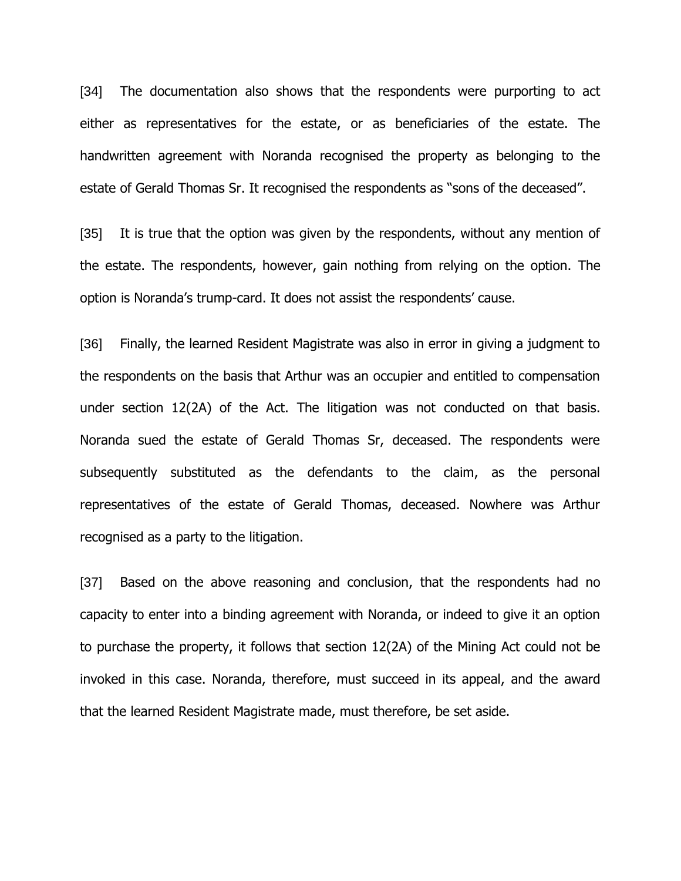[34] The documentation also shows that the respondents were purporting to act either as representatives for the estate, or as beneficiaries of the estate. The handwritten agreement with Noranda recognised the property as belonging to the estate of Gerald Thomas Sr. It recognised the respondents as "sons of the deceased".

[35] It is true that the option was given by the respondents, without any mention of the estate. The respondents, however, gain nothing from relying on the option. The option is Noranda's trump-card. It does not assist the respondents' cause.

[36] Finally, the learned Resident Magistrate was also in error in giving a judgment to the respondents on the basis that Arthur was an occupier and entitled to compensation under section 12(2A) of the Act. The litigation was not conducted on that basis. Noranda sued the estate of Gerald Thomas Sr, deceased. The respondents were subsequently substituted as the defendants to the claim, as the personal representatives of the estate of Gerald Thomas, deceased. Nowhere was Arthur recognised as a party to the litigation.

[37] Based on the above reasoning and conclusion, that the respondents had no capacity to enter into a binding agreement with Noranda, or indeed to give it an option to purchase the property, it follows that section 12(2A) of the Mining Act could not be invoked in this case. Noranda, therefore, must succeed in its appeal, and the award that the learned Resident Magistrate made, must therefore, be set aside.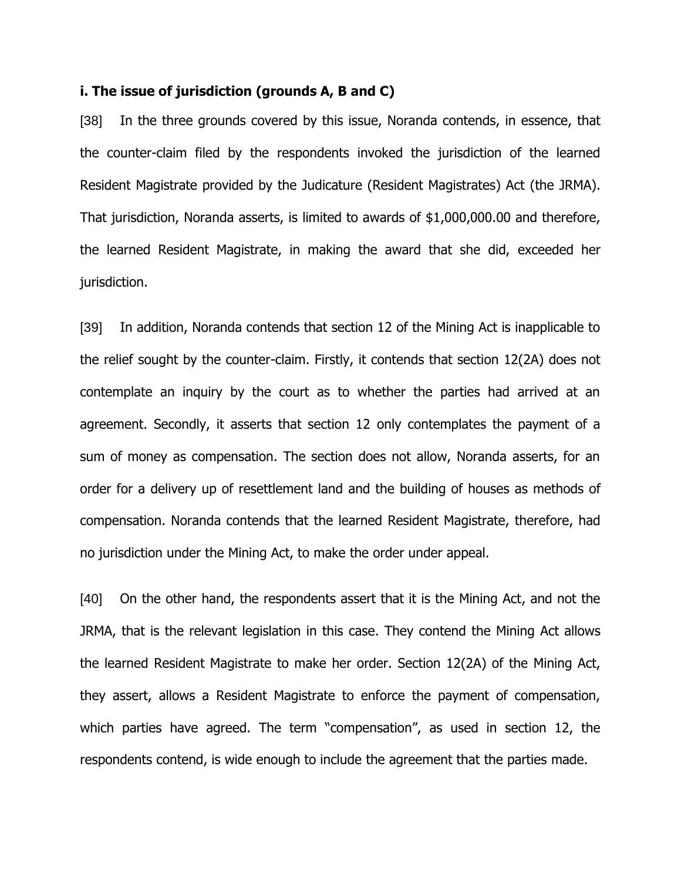#### **i. The issue of jurisdiction (grounds A, B and C)**

[38] In the three grounds covered by this issue, Noranda contends, in essence, that the counter-claim filed by the respondents invoked the jurisdiction of the learned Resident Magistrate provided by the Judicature (Resident Magistrates) Act (the JRMA). That jurisdiction, Noranda asserts, is limited to awards of \$1,000,000.00 and therefore, the learned Resident Magistrate, in making the award that she did, exceeded her jurisdiction.

[39] In addition, Noranda contends that section 12 of the Mining Act is inapplicable to the relief sought by the counter-claim. Firstly, it contends that section 12(2A) does not contemplate an inquiry by the court as to whether the parties had arrived at an agreement. Secondly, it asserts that section 12 only contemplates the payment of a sum of money as compensation. The section does not allow, Noranda asserts, for an order for a delivery up of resettlement land and the building of houses as methods of compensation. Noranda contends that the learned Resident Magistrate, therefore, had no jurisdiction under the Mining Act, to make the order under appeal.

[40] On the other hand, the respondents assert that it is the Mining Act, and not the JRMA, that is the relevant legislation in this case. They contend the Mining Act allows the learned Resident Magistrate to make her order. Section 12(2A) of the Mining Act, they assert, allows a Resident Magistrate to enforce the payment of compensation, which parties have agreed. The term "compensation", as used in section 12, the respondents contend, is wide enough to include the agreement that the parties made.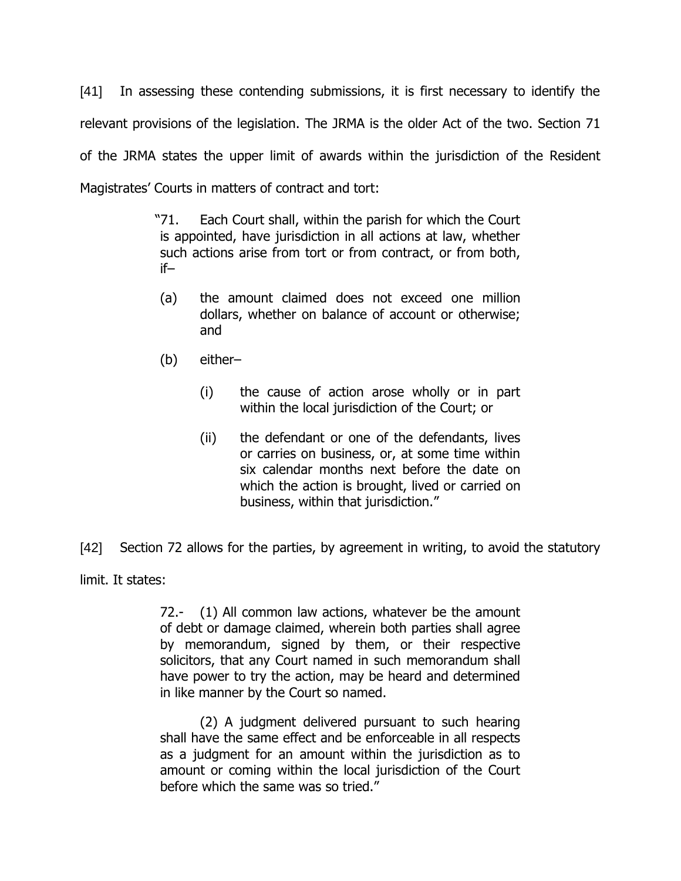[41] In assessing these contending submissions, it is first necessary to identify the relevant provisions of the legislation. The JRMA is the older Act of the two. Section 71 of the JRMA states the upper limit of awards within the jurisdiction of the Resident Magistrates' Courts in matters of contract and tort:

> "71. Each Court shall, within the parish for which the Court is appointed, have jurisdiction in all actions at law, whether such actions arise from tort or from contract, or from both, if–

- (a) the amount claimed does not exceed one million dollars, whether on balance of account or otherwise; and
- (b) either–
	- (i) the cause of action arose wholly or in part within the local jurisdiction of the Court; or
	- (ii) the defendant or one of the defendants, lives or carries on business, or, at some time within six calendar months next before the date on which the action is brought, lived or carried on business, within that jurisdiction."

[42] Section 72 allows for the parties, by agreement in writing, to avoid the statutory

limit. It states:

72.- (1) All common law actions, whatever be the amount of debt or damage claimed, wherein both parties shall agree by memorandum, signed by them, or their respective solicitors, that any Court named in such memorandum shall have power to try the action, may be heard and determined in like manner by the Court so named.

(2) A judgment delivered pursuant to such hearing shall have the same effect and be enforceable in all respects as a judgment for an amount within the jurisdiction as to amount or coming within the local jurisdiction of the Court before which the same was so tried."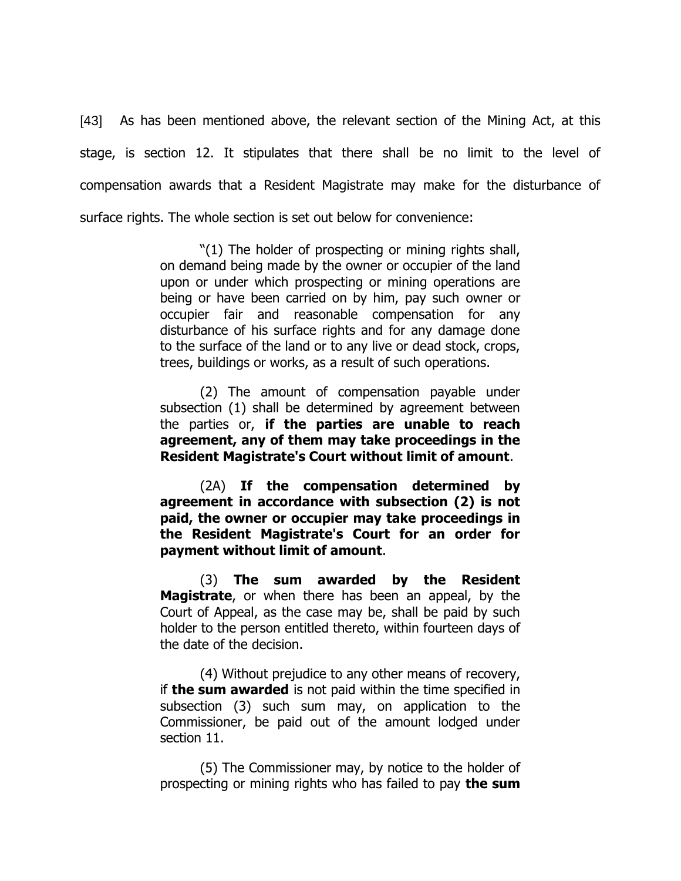[43] As has been mentioned above, the relevant section of the Mining Act, at this stage, is section 12. It stipulates that there shall be no limit to the level of compensation awards that a Resident Magistrate may make for the disturbance of surface rights. The whole section is set out below for convenience:

> "(1) The holder of prospecting or mining rights shall, on demand being made by the owner or occupier of the land upon or under which prospecting or mining operations are being or have been carried on by him, pay such owner or occupier fair and reasonable compensation for any disturbance of his surface rights and for any damage done to the surface of the land or to any live or dead stock, crops, trees, buildings or works, as a result of such operations.

> (2) The amount of compensation payable under subsection (1) shall be determined by agreement between the parties or, **if the parties are unable to reach agreement, any of them may take proceedings in the Resident Magistrate's Court without limit of amount**.

> (2A) **If the compensation determined by agreement in accordance with subsection (2) is not paid, the owner or occupier may take proceedings in the Resident Magistrate's Court for an order for payment without limit of amount**.

> (3) **The sum awarded by the Resident Magistrate**, or when there has been an appeal, by the Court of Appeal, as the case may be, shall be paid by such holder to the person entitled thereto, within fourteen days of the date of the decision.

> (4) Without prejudice to any other means of recovery, if **the sum awarded** is not paid within the time specified in subsection (3) such sum may, on application to the Commissioner, be paid out of the amount lodged under section 11.

> (5) The Commissioner may, by notice to the holder of prospecting or mining rights who has failed to pay **the sum**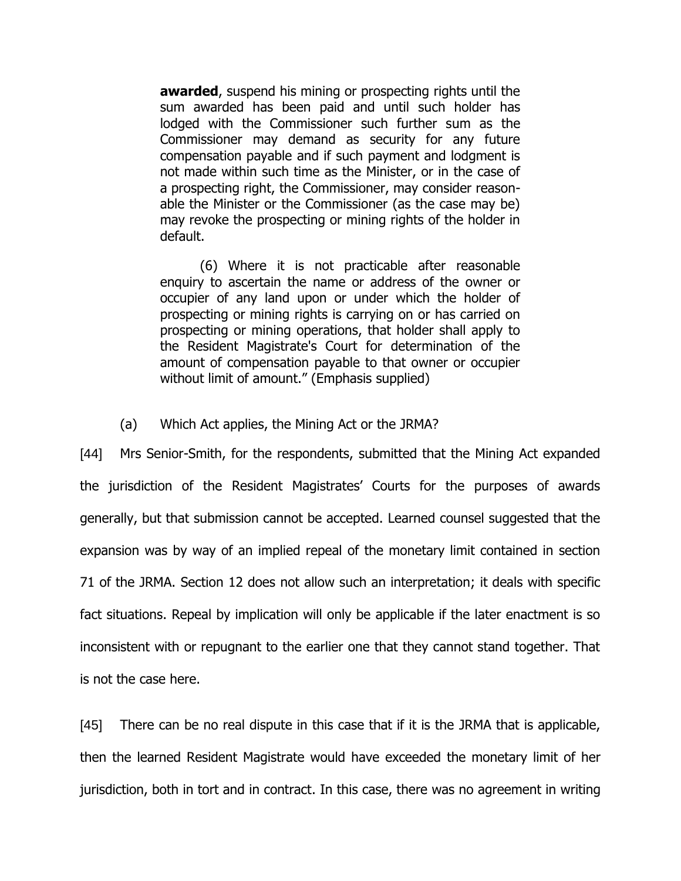**awarded**, suspend his mining or prospecting rights until the sum awarded has been paid and until such holder has lodged with the Commissioner such further sum as the Commissioner may demand as security for any future compensation payable and if such payment and lodgment is not made within such time as the Minister, or in the case of a prospecting right, the Commissioner, may consider reasonable the Minister or the Commissioner (as the case may be) may revoke the prospecting or mining rights of the holder in default.

(6) Where it is not practicable after reasonable enquiry to ascertain the name or address of the owner or occupier of any land upon or under which the holder of prospecting or mining rights is carrying on or has carried on prospecting or mining operations, that holder shall apply to the Resident Magistrate's Court for determination of the amount of compensation payable to that owner or occupier without limit of amount." (Emphasis supplied)

### (a) Which Act applies, the Mining Act or the JRMA?

[44] Mrs Senior-Smith, for the respondents, submitted that the Mining Act expanded the jurisdiction of the Resident Magistrates' Courts for the purposes of awards generally, but that submission cannot be accepted. Learned counsel suggested that the expansion was by way of an implied repeal of the monetary limit contained in section 71 of the JRMA. Section 12 does not allow such an interpretation; it deals with specific fact situations. Repeal by implication will only be applicable if the later enactment is so inconsistent with or repugnant to the earlier one that they cannot stand together. That is not the case here.

[45] There can be no real dispute in this case that if it is the JRMA that is applicable, then the learned Resident Magistrate would have exceeded the monetary limit of her jurisdiction, both in tort and in contract. In this case, there was no agreement in writing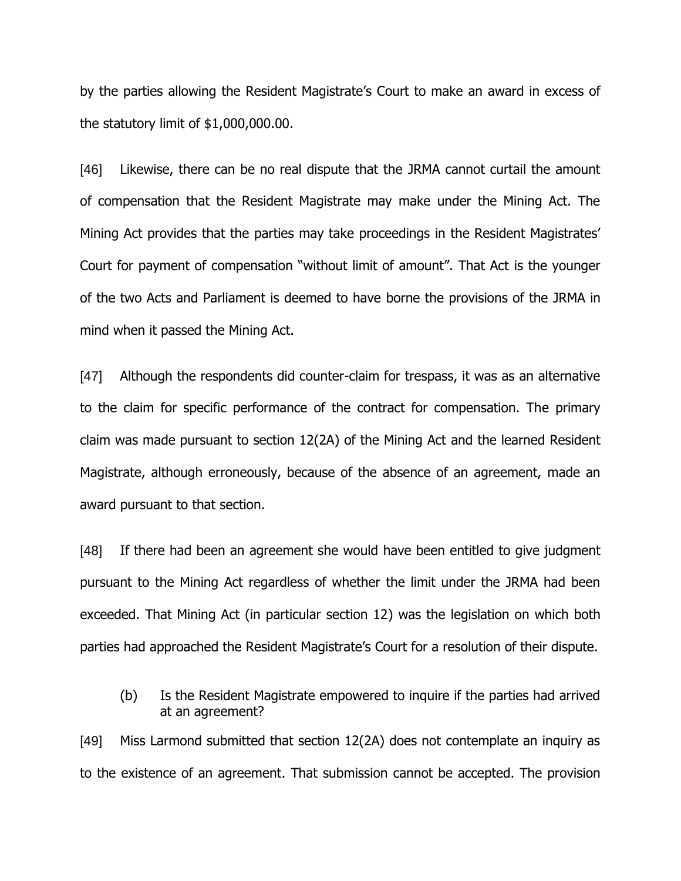by the parties allowing the Resident Magistrate's Court to make an award in excess of the statutory limit of \$1,000,000.00.

[46] Likewise, there can be no real dispute that the JRMA cannot curtail the amount of compensation that the Resident Magistrate may make under the Mining Act. The Mining Act provides that the parties may take proceedings in the Resident Magistrates' Court for payment of compensation "without limit of amount". That Act is the younger of the two Acts and Parliament is deemed to have borne the provisions of the JRMA in mind when it passed the Mining Act.

[47] Although the respondents did counter-claim for trespass, it was as an alternative to the claim for specific performance of the contract for compensation. The primary claim was made pursuant to section 12(2A) of the Mining Act and the learned Resident Magistrate, although erroneously, because of the absence of an agreement, made an award pursuant to that section.

[48] If there had been an agreement she would have been entitled to give judgment pursuant to the Mining Act regardless of whether the limit under the JRMA had been exceeded. That Mining Act (in particular section 12) was the legislation on which both parties had approached the Resident Magistrate's Court for a resolution of their dispute.

(b) Is the Resident Magistrate empowered to inquire if the parties had arrived at an agreement?

[49] Miss Larmond submitted that section 12(2A) does not contemplate an inquiry as to the existence of an agreement. That submission cannot be accepted. The provision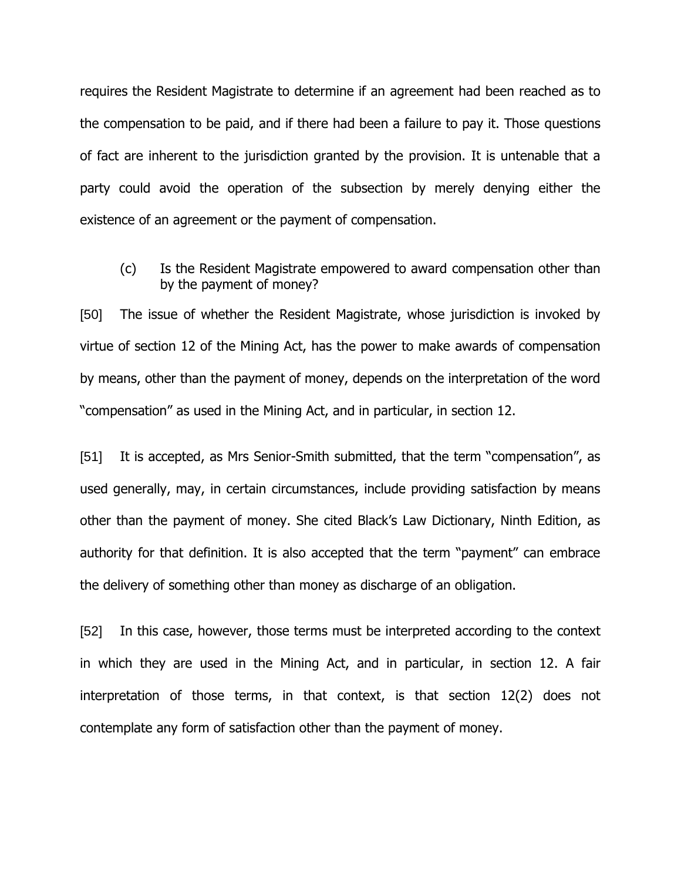requires the Resident Magistrate to determine if an agreement had been reached as to the compensation to be paid, and if there had been a failure to pay it. Those questions of fact are inherent to the jurisdiction granted by the provision. It is untenable that a party could avoid the operation of the subsection by merely denying either the existence of an agreement or the payment of compensation.

(c) Is the Resident Magistrate empowered to award compensation other than by the payment of money?

[50] The issue of whether the Resident Magistrate, whose jurisdiction is invoked by virtue of section 12 of the Mining Act, has the power to make awards of compensation by means, other than the payment of money, depends on the interpretation of the word "compensation" as used in the Mining Act, and in particular, in section 12.

[51] It is accepted, as Mrs Senior-Smith submitted, that the term "compensation", as used generally, may, in certain circumstances, include providing satisfaction by means other than the payment of money. She cited Black's Law Dictionary, Ninth Edition, as authority for that definition. It is also accepted that the term "payment" can embrace the delivery of something other than money as discharge of an obligation.

[52] In this case, however, those terms must be interpreted according to the context in which they are used in the Mining Act, and in particular, in section 12. A fair interpretation of those terms, in that context, is that section 12(2) does not contemplate any form of satisfaction other than the payment of money.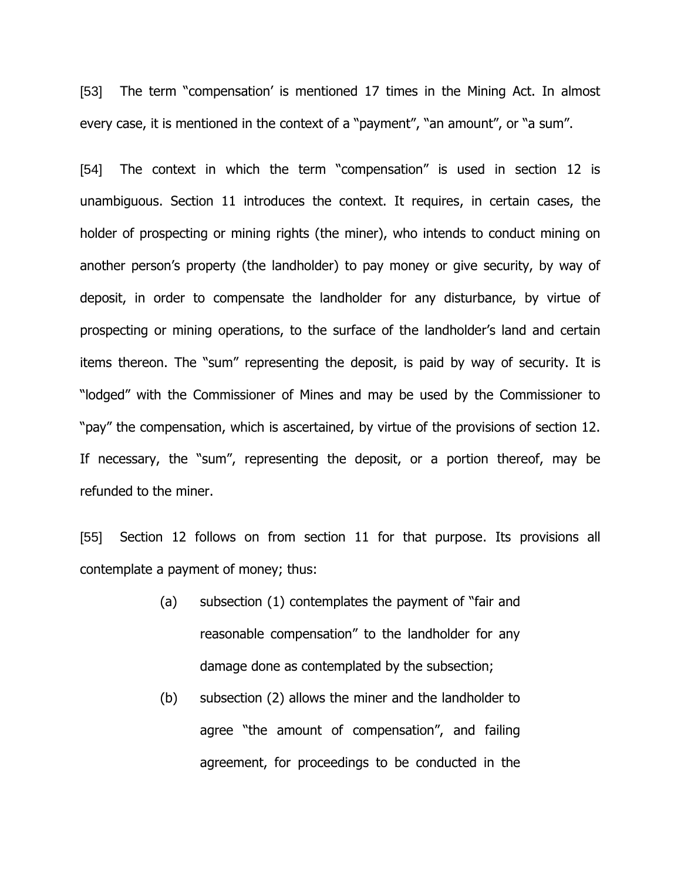[53] The term "compensation' is mentioned 17 times in the Mining Act. In almost every case, it is mentioned in the context of a "payment", "an amount", or "a sum".

[54] The context in which the term "compensation" is used in section 12 is unambiguous. Section 11 introduces the context. It requires, in certain cases, the holder of prospecting or mining rights (the miner), who intends to conduct mining on another person's property (the landholder) to pay money or give security, by way of deposit, in order to compensate the landholder for any disturbance, by virtue of prospecting or mining operations, to the surface of the landholder's land and certain items thereon. The "sum" representing the deposit, is paid by way of security. It is "lodged" with the Commissioner of Mines and may be used by the Commissioner to "pay" the compensation, which is ascertained, by virtue of the provisions of section 12. If necessary, the "sum", representing the deposit, or a portion thereof, may be refunded to the miner.

[55] Section 12 follows on from section 11 for that purpose. Its provisions all contemplate a payment of money; thus:

- (a) subsection (1) contemplates the payment of "fair and reasonable compensation" to the landholder for any damage done as contemplated by the subsection;
- (b) subsection (2) allows the miner and the landholder to agree "the amount of compensation", and failing agreement, for proceedings to be conducted in the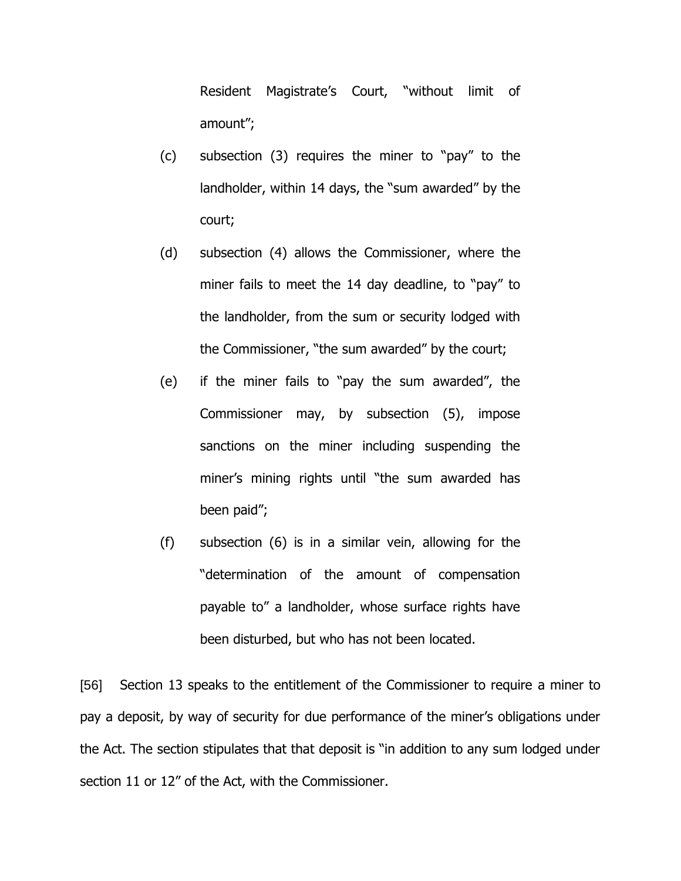Resident Magistrate's Court, "without limit of amount";

- (c) subsection (3) requires the miner to "pay" to the landholder, within 14 days, the "sum awarded" by the court;
- (d) subsection (4) allows the Commissioner, where the miner fails to meet the 14 day deadline, to "pay" to the landholder, from the sum or security lodged with the Commissioner, "the sum awarded" by the court;
- (e) if the miner fails to "pay the sum awarded", the Commissioner may, by subsection (5), impose sanctions on the miner including suspending the miner's mining rights until "the sum awarded has been paid";
- (f) subsection (6) is in a similar vein, allowing for the "determination of the amount of compensation payable to" a landholder, whose surface rights have been disturbed, but who has not been located.

[56] Section 13 speaks to the entitlement of the Commissioner to require a miner to pay a deposit, by way of security for due performance of the miner's obligations under the Act. The section stipulates that that deposit is "in addition to any sum lodged under section 11 or 12" of the Act, with the Commissioner.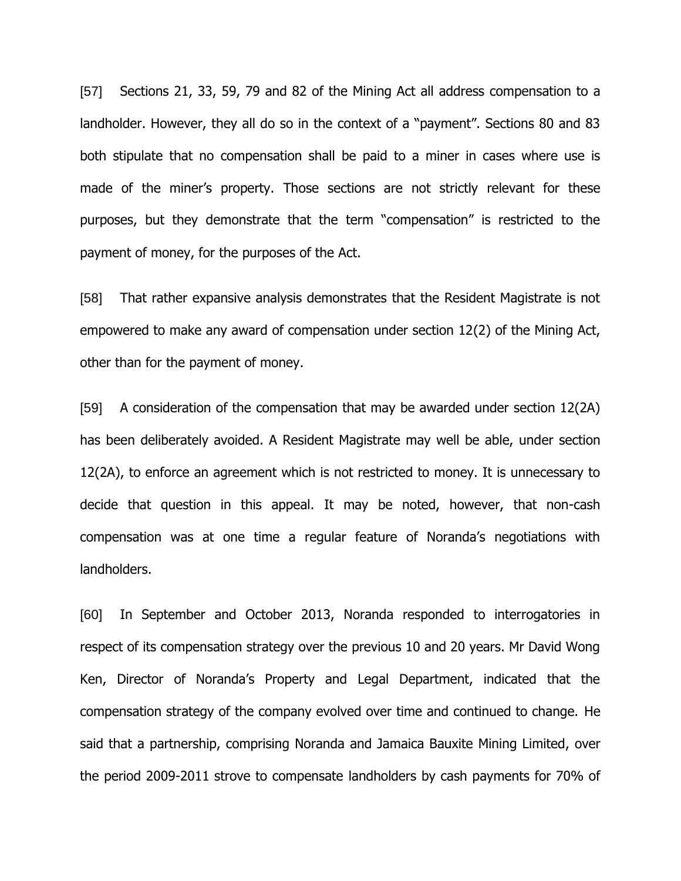[57] Sections 21, 33, 59, 79 and 82 of the Mining Act all address compensation to a landholder. However, they all do so in the context of a "payment". Sections 80 and 83 both stipulate that no compensation shall be paid to a miner in cases where use is made of the miner's property. Those sections are not strictly relevant for these purposes, but they demonstrate that the term "compensation" is restricted to the payment of money, for the purposes of the Act.

[58] That rather expansive analysis demonstrates that the Resident Magistrate is not empowered to make any award of compensation under section 12(2) of the Mining Act, other than for the payment of money.

[59] A consideration of the compensation that may be awarded under section 12(2A) has been deliberately avoided. A Resident Magistrate may well be able, under section 12(2A), to enforce an agreement which is not restricted to money. It is unnecessary to decide that question in this appeal. It may be noted, however, that non-cash compensation was at one time a regular feature of Noranda's negotiations with landholders.

[60] In September and October 2013, Noranda responded to interrogatories in respect of its compensation strategy over the previous 10 and 20 years. Mr David Wong Ken, Director of Noranda's Property and Legal Department, indicated that the compensation strategy of the company evolved over time and continued to change. He said that a partnership, comprising Noranda and Jamaica Bauxite Mining Limited, over the period 2009-2011 strove to compensate landholders by cash payments for 70% of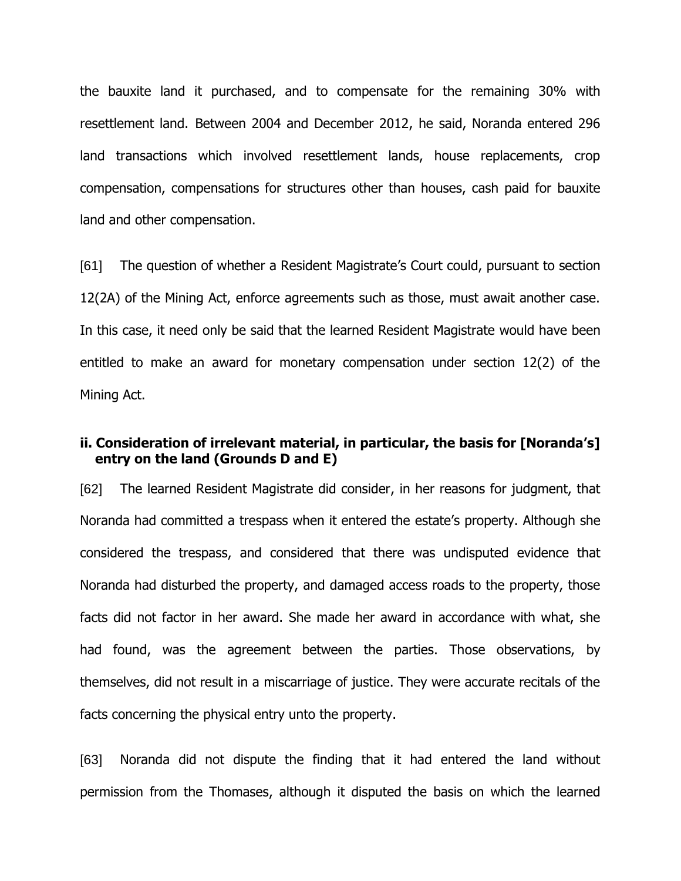the bauxite land it purchased, and to compensate for the remaining 30% with resettlement land. Between 2004 and December 2012, he said, Noranda entered 296 land transactions which involved resettlement lands, house replacements, crop compensation, compensations for structures other than houses, cash paid for bauxite land and other compensation.

[61] The question of whether a Resident Magistrate's Court could, pursuant to section 12(2A) of the Mining Act, enforce agreements such as those, must await another case. In this case, it need only be said that the learned Resident Magistrate would have been entitled to make an award for monetary compensation under section 12(2) of the Mining Act.

## **ii. Consideration of irrelevant material, in particular, the basis for [Noranda's] entry on the land (Grounds D and E)**

[62] The learned Resident Magistrate did consider, in her reasons for judgment, that Noranda had committed a trespass when it entered the estate's property. Although she considered the trespass, and considered that there was undisputed evidence that Noranda had disturbed the property, and damaged access roads to the property, those facts did not factor in her award. She made her award in accordance with what, she had found, was the agreement between the parties. Those observations, by themselves, did not result in a miscarriage of justice. They were accurate recitals of the facts concerning the physical entry unto the property.

[63] Noranda did not dispute the finding that it had entered the land without permission from the Thomases, although it disputed the basis on which the learned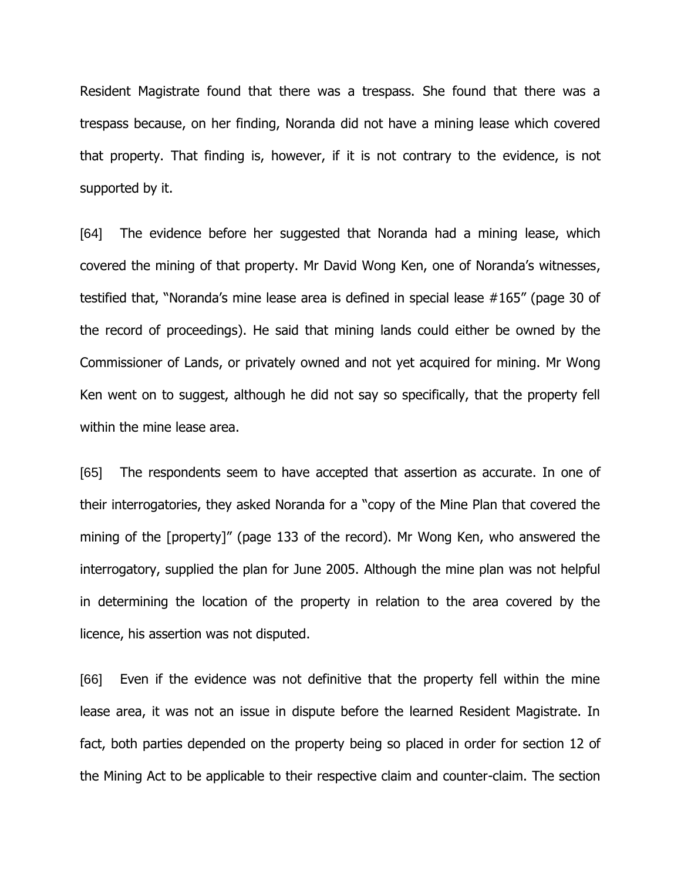Resident Magistrate found that there was a trespass. She found that there was a trespass because, on her finding, Noranda did not have a mining lease which covered that property. That finding is, however, if it is not contrary to the evidence, is not supported by it.

[64] The evidence before her suggested that Noranda had a mining lease, which covered the mining of that property. Mr David Wong Ken, one of Noranda's witnesses, testified that, "Noranda's mine lease area is defined in special lease #165" (page 30 of the record of proceedings). He said that mining lands could either be owned by the Commissioner of Lands, or privately owned and not yet acquired for mining. Mr Wong Ken went on to suggest, although he did not say so specifically, that the property fell within the mine lease area.

[65] The respondents seem to have accepted that assertion as accurate. In one of their interrogatories, they asked Noranda for a "copy of the Mine Plan that covered the mining of the [property]" (page 133 of the record). Mr Wong Ken, who answered the interrogatory, supplied the plan for June 2005. Although the mine plan was not helpful in determining the location of the property in relation to the area covered by the licence, his assertion was not disputed.

[66] Even if the evidence was not definitive that the property fell within the mine lease area, it was not an issue in dispute before the learned Resident Magistrate. In fact, both parties depended on the property being so placed in order for section 12 of the Mining Act to be applicable to their respective claim and counter-claim. The section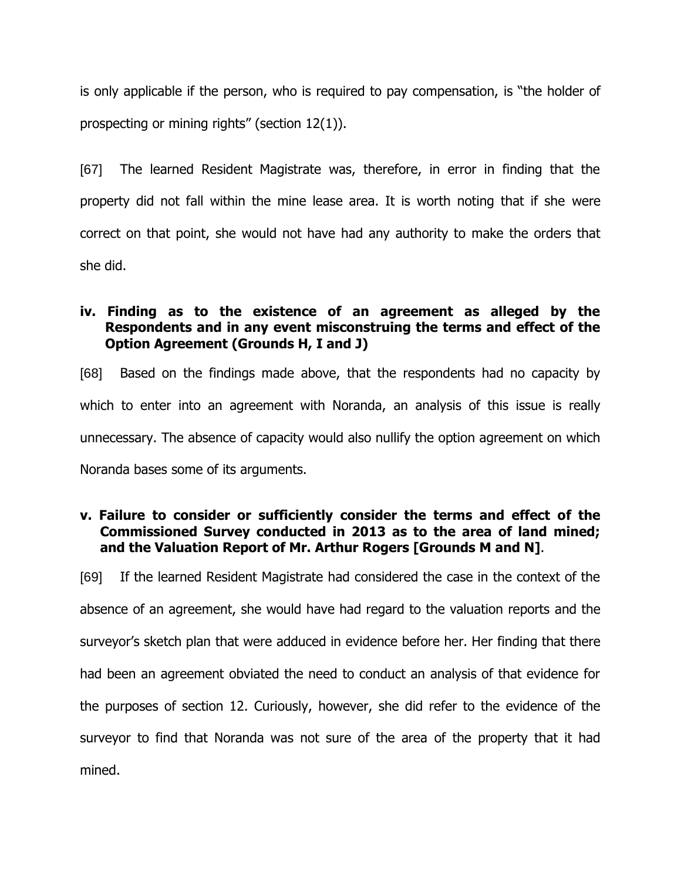is only applicable if the person, who is required to pay compensation, is "the holder of prospecting or mining rights" (section 12(1)).

[67] The learned Resident Magistrate was, therefore, in error in finding that the property did not fall within the mine lease area. It is worth noting that if she were correct on that point, she would not have had any authority to make the orders that she did.

## **iv. Finding as to the existence of an agreement as alleged by the Respondents and in any event misconstruing the terms and effect of the Option Agreement (Grounds H, I and J)**

[68] Based on the findings made above, that the respondents had no capacity by which to enter into an agreement with Noranda, an analysis of this issue is really unnecessary. The absence of capacity would also nullify the option agreement on which Noranda bases some of its arguments.

## **v. Failure to consider or sufficiently consider the terms and effect of the Commissioned Survey conducted in 2013 as to the area of land mined; and the Valuation Report of Mr. Arthur Rogers [Grounds M and N]**.

[69] If the learned Resident Magistrate had considered the case in the context of the absence of an agreement, she would have had regard to the valuation reports and the surveyor's sketch plan that were adduced in evidence before her. Her finding that there had been an agreement obviated the need to conduct an analysis of that evidence for the purposes of section 12. Curiously, however, she did refer to the evidence of the surveyor to find that Noranda was not sure of the area of the property that it had mined.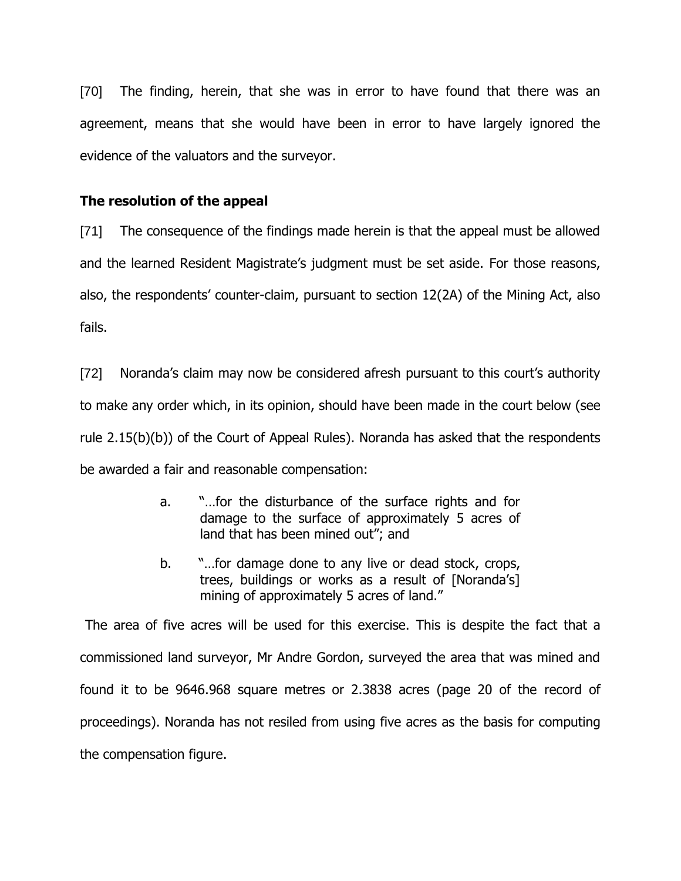[70] The finding, herein, that she was in error to have found that there was an agreement, means that she would have been in error to have largely ignored the evidence of the valuators and the surveyor.

### **The resolution of the appeal**

[71] The consequence of the findings made herein is that the appeal must be allowed and the learned Resident Magistrate's judgment must be set aside. For those reasons, also, the respondents' counter-claim, pursuant to section 12(2A) of the Mining Act, also fails.

[72] Noranda's claim may now be considered afresh pursuant to this court's authority to make any order which, in its opinion, should have been made in the court below (see rule 2.15(b)(b)) of the Court of Appeal Rules). Noranda has asked that the respondents be awarded a fair and reasonable compensation:

- a. "…for the disturbance of the surface rights and for damage to the surface of approximately 5 acres of land that has been mined out"; and
- b. "…for damage done to any live or dead stock, crops, trees, buildings or works as a result of [Noranda's] mining of approximately 5 acres of land."

The area of five acres will be used for this exercise. This is despite the fact that a commissioned land surveyor, Mr Andre Gordon, surveyed the area that was mined and found it to be 9646.968 square metres or 2.3838 acres (page 20 of the record of proceedings). Noranda has not resiled from using five acres as the basis for computing the compensation figure.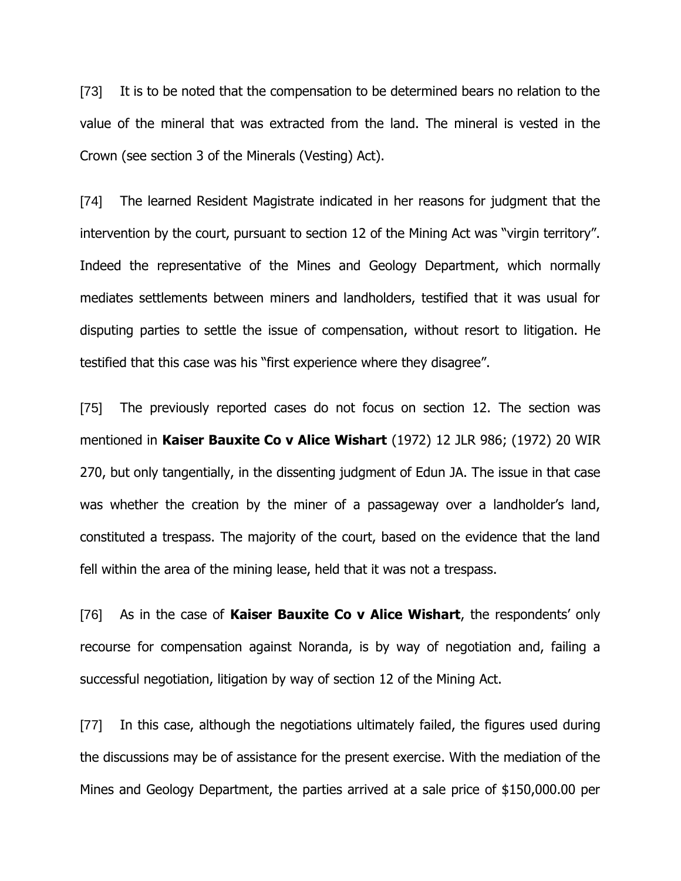[73] It is to be noted that the compensation to be determined bears no relation to the value of the mineral that was extracted from the land. The mineral is vested in the Crown (see section 3 of the Minerals (Vesting) Act).

[74] The learned Resident Magistrate indicated in her reasons for judgment that the intervention by the court, pursuant to section 12 of the Mining Act was "virgin territory". Indeed the representative of the Mines and Geology Department, which normally mediates settlements between miners and landholders, testified that it was usual for disputing parties to settle the issue of compensation, without resort to litigation. He testified that this case was his "first experience where they disagree".

[75] The previously reported cases do not focus on section 12. The section was mentioned in **Kaiser Bauxite Co v Alice Wishart** (1972) 12 JLR 986; (1972) 20 WIR 270, but only tangentially, in the dissenting judgment of Edun JA. The issue in that case was whether the creation by the miner of a passageway over a landholder's land, constituted a trespass. The majority of the court, based on the evidence that the land fell within the area of the mining lease, held that it was not a trespass.

[76] As in the case of **Kaiser Bauxite Co v Alice Wishart**, the respondents' only recourse for compensation against Noranda, is by way of negotiation and, failing a successful negotiation, litigation by way of section 12 of the Mining Act.

[77] In this case, although the negotiations ultimately failed, the figures used during the discussions may be of assistance for the present exercise. With the mediation of the Mines and Geology Department, the parties arrived at a sale price of \$150,000.00 per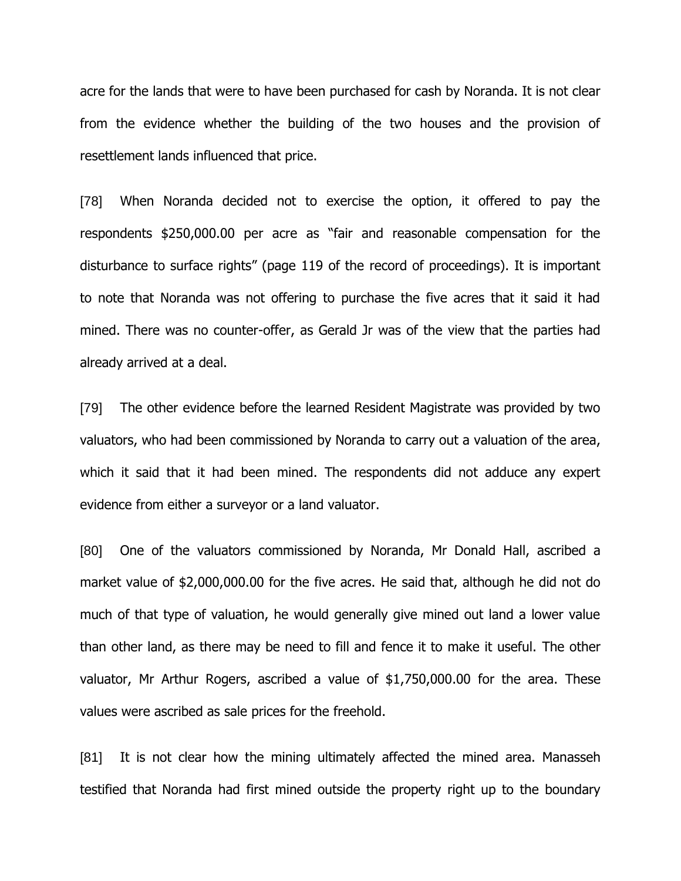acre for the lands that were to have been purchased for cash by Noranda. It is not clear from the evidence whether the building of the two houses and the provision of resettlement lands influenced that price.

[78] When Noranda decided not to exercise the option, it offered to pay the respondents \$250,000.00 per acre as "fair and reasonable compensation for the disturbance to surface rights" (page 119 of the record of proceedings). It is important to note that Noranda was not offering to purchase the five acres that it said it had mined. There was no counter-offer, as Gerald Jr was of the view that the parties had already arrived at a deal.

[79] The other evidence before the learned Resident Magistrate was provided by two valuators, who had been commissioned by Noranda to carry out a valuation of the area, which it said that it had been mined. The respondents did not adduce any expert evidence from either a surveyor or a land valuator.

[80] One of the valuators commissioned by Noranda, Mr Donald Hall, ascribed a market value of \$2,000,000.00 for the five acres. He said that, although he did not do much of that type of valuation, he would generally give mined out land a lower value than other land, as there may be need to fill and fence it to make it useful. The other valuator, Mr Arthur Rogers, ascribed a value of \$1,750,000.00 for the area. These values were ascribed as sale prices for the freehold.

[81] It is not clear how the mining ultimately affected the mined area. Manasseh testified that Noranda had first mined outside the property right up to the boundary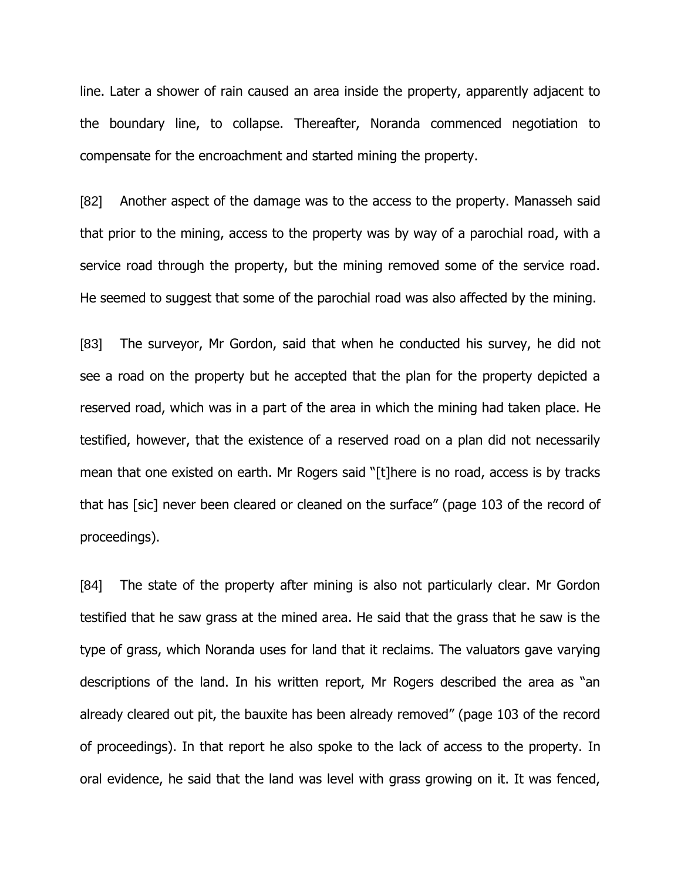line. Later a shower of rain caused an area inside the property, apparently adjacent to the boundary line, to collapse. Thereafter, Noranda commenced negotiation to compensate for the encroachment and started mining the property.

[82] Another aspect of the damage was to the access to the property. Manasseh said that prior to the mining, access to the property was by way of a parochial road, with a service road through the property, but the mining removed some of the service road. He seemed to suggest that some of the parochial road was also affected by the mining.

[83] The surveyor, Mr Gordon, said that when he conducted his survey, he did not see a road on the property but he accepted that the plan for the property depicted a reserved road, which was in a part of the area in which the mining had taken place. He testified, however, that the existence of a reserved road on a plan did not necessarily mean that one existed on earth. Mr Rogers said "[t]here is no road, access is by tracks that has [sic] never been cleared or cleaned on the surface" (page 103 of the record of proceedings).

[84] The state of the property after mining is also not particularly clear. Mr Gordon testified that he saw grass at the mined area. He said that the grass that he saw is the type of grass, which Noranda uses for land that it reclaims. The valuators gave varying descriptions of the land. In his written report, Mr Rogers described the area as "an already cleared out pit, the bauxite has been already removed" (page 103 of the record of proceedings). In that report he also spoke to the lack of access to the property. In oral evidence, he said that the land was level with grass growing on it. It was fenced,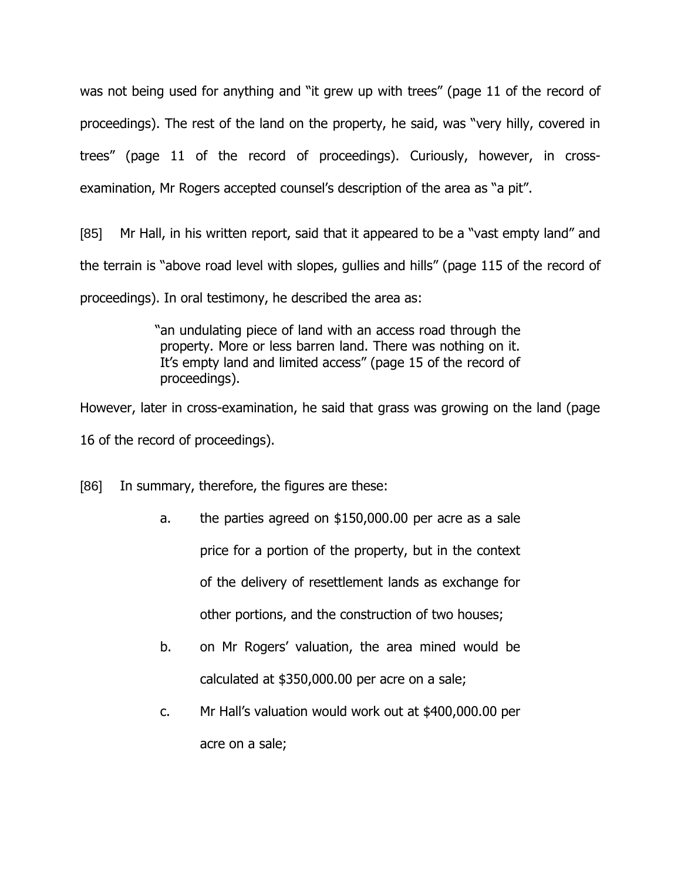was not being used for anything and "it grew up with trees" (page 11 of the record of proceedings). The rest of the land on the property, he said, was "very hilly, covered in trees" (page 11 of the record of proceedings). Curiously, however, in crossexamination, Mr Rogers accepted counsel's description of the area as "a pit".

[85] Mr Hall, in his written report, said that it appeared to be a "vast empty land" and the terrain is "above road level with slopes, gullies and hills" (page 115 of the record of proceedings). In oral testimony, he described the area as:

> "an undulating piece of land with an access road through the property. More or less barren land. There was nothing on it. It's empty land and limited access" (page 15 of the record of proceedings).

However, later in cross-examination, he said that grass was growing on the land (page 16 of the record of proceedings).

[86] In summary, therefore, the figures are these:

- a. the parties agreed on \$150,000.00 per acre as a sale price for a portion of the property, but in the context of the delivery of resettlement lands as exchange for other portions, and the construction of two houses;
- b. on Mr Rogers' valuation, the area mined would be calculated at \$350,000.00 per acre on a sale;
- c. Mr Hall's valuation would work out at \$400,000.00 per acre on a sale;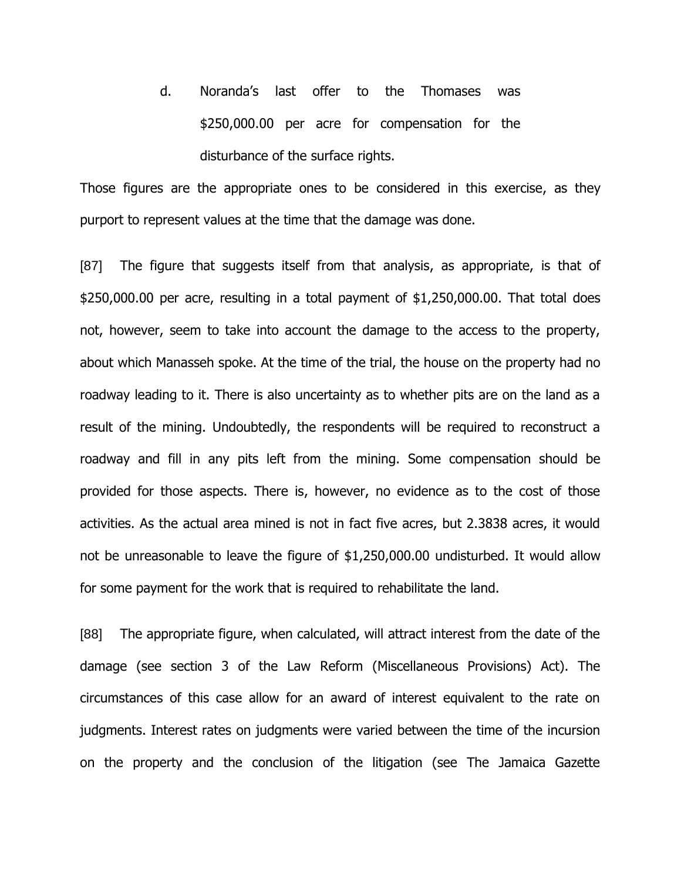d. Noranda's last offer to the Thomases was \$250,000.00 per acre for compensation for the disturbance of the surface rights.

Those figures are the appropriate ones to be considered in this exercise, as they purport to represent values at the time that the damage was done.

[87] The figure that suggests itself from that analysis, as appropriate, is that of \$250,000.00 per acre, resulting in a total payment of \$1,250,000.00. That total does not, however, seem to take into account the damage to the access to the property, about which Manasseh spoke. At the time of the trial, the house on the property had no roadway leading to it. There is also uncertainty as to whether pits are on the land as a result of the mining. Undoubtedly, the respondents will be required to reconstruct a roadway and fill in any pits left from the mining. Some compensation should be provided for those aspects. There is, however, no evidence as to the cost of those activities. As the actual area mined is not in fact five acres, but 2.3838 acres, it would not be unreasonable to leave the figure of \$1,250,000.00 undisturbed. It would allow for some payment for the work that is required to rehabilitate the land.

[88] The appropriate figure, when calculated, will attract interest from the date of the damage (see section 3 of the Law Reform (Miscellaneous Provisions) Act). The circumstances of this case allow for an award of interest equivalent to the rate on judgments. Interest rates on judgments were varied between the time of the incursion on the property and the conclusion of the litigation (see The Jamaica Gazette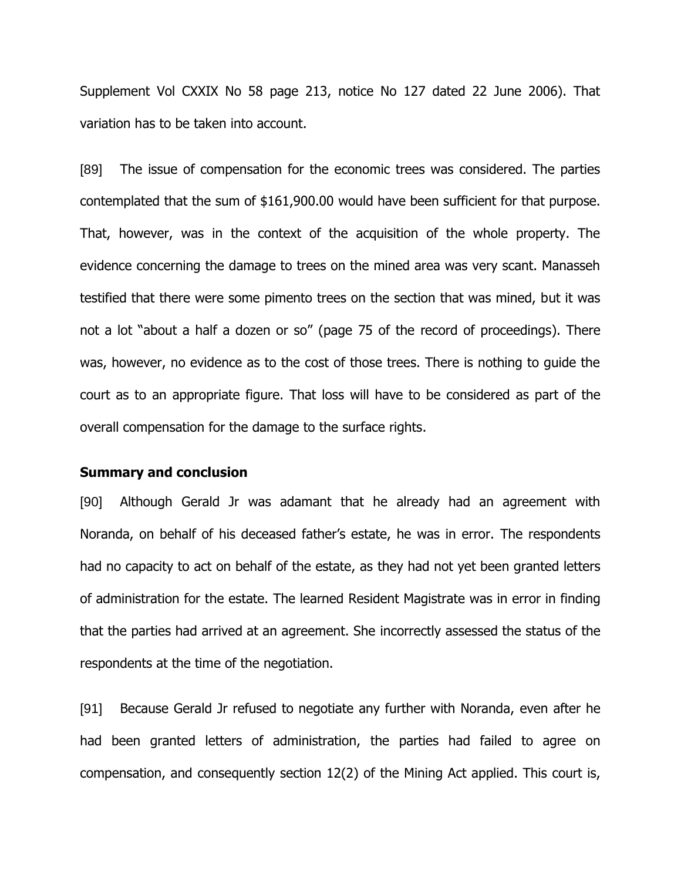Supplement Vol CXXIX No 58 page 213, notice No 127 dated 22 June 2006). That variation has to be taken into account.

[89] The issue of compensation for the economic trees was considered. The parties contemplated that the sum of \$161,900.00 would have been sufficient for that purpose. That, however, was in the context of the acquisition of the whole property. The evidence concerning the damage to trees on the mined area was very scant. Manasseh testified that there were some pimento trees on the section that was mined, but it was not a lot "about a half a dozen or so" (page 75 of the record of proceedings). There was, however, no evidence as to the cost of those trees. There is nothing to guide the court as to an appropriate figure. That loss will have to be considered as part of the overall compensation for the damage to the surface rights.

#### **Summary and conclusion**

[90] Although Gerald Jr was adamant that he already had an agreement with Noranda, on behalf of his deceased father's estate, he was in error. The respondents had no capacity to act on behalf of the estate, as they had not yet been granted letters of administration for the estate. The learned Resident Magistrate was in error in finding that the parties had arrived at an agreement. She incorrectly assessed the status of the respondents at the time of the negotiation.

[91] Because Gerald Jr refused to negotiate any further with Noranda, even after he had been granted letters of administration, the parties had failed to agree on compensation, and consequently section 12(2) of the Mining Act applied. This court is,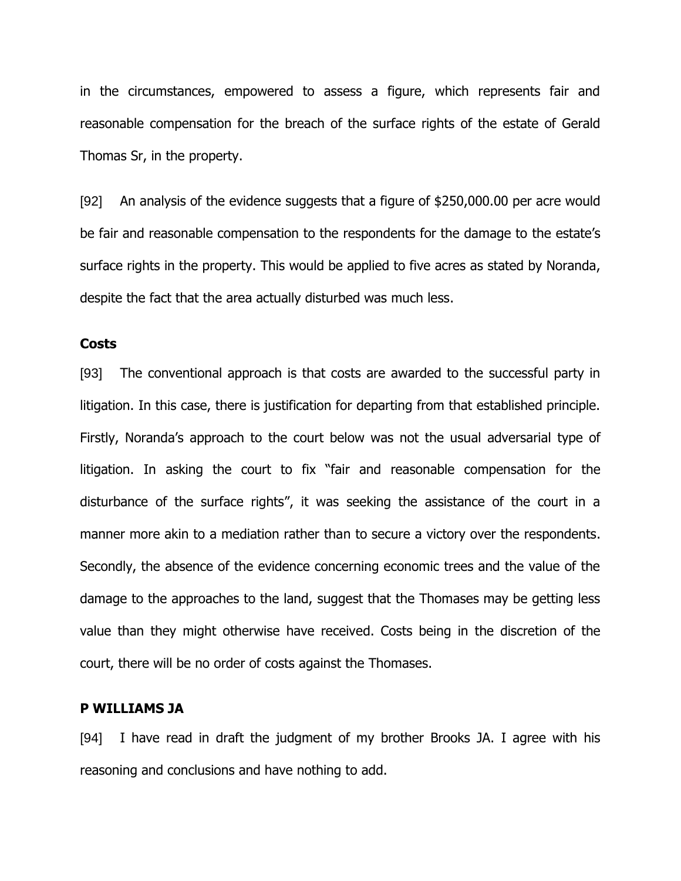in the circumstances, empowered to assess a figure, which represents fair and reasonable compensation for the breach of the surface rights of the estate of Gerald Thomas Sr, in the property.

[92] An analysis of the evidence suggests that a figure of \$250,000.00 per acre would be fair and reasonable compensation to the respondents for the damage to the estate's surface rights in the property. This would be applied to five acres as stated by Noranda, despite the fact that the area actually disturbed was much less.

### **Costs**

[93] The conventional approach is that costs are awarded to the successful party in litigation. In this case, there is justification for departing from that established principle. Firstly, Noranda's approach to the court below was not the usual adversarial type of litigation. In asking the court to fix "fair and reasonable compensation for the disturbance of the surface rights", it was seeking the assistance of the court in a manner more akin to a mediation rather than to secure a victory over the respondents. Secondly, the absence of the evidence concerning economic trees and the value of the damage to the approaches to the land, suggest that the Thomases may be getting less value than they might otherwise have received. Costs being in the discretion of the court, there will be no order of costs against the Thomases.

#### **P WILLIAMS JA**

[94] I have read in draft the judgment of my brother Brooks JA. I agree with his reasoning and conclusions and have nothing to add.